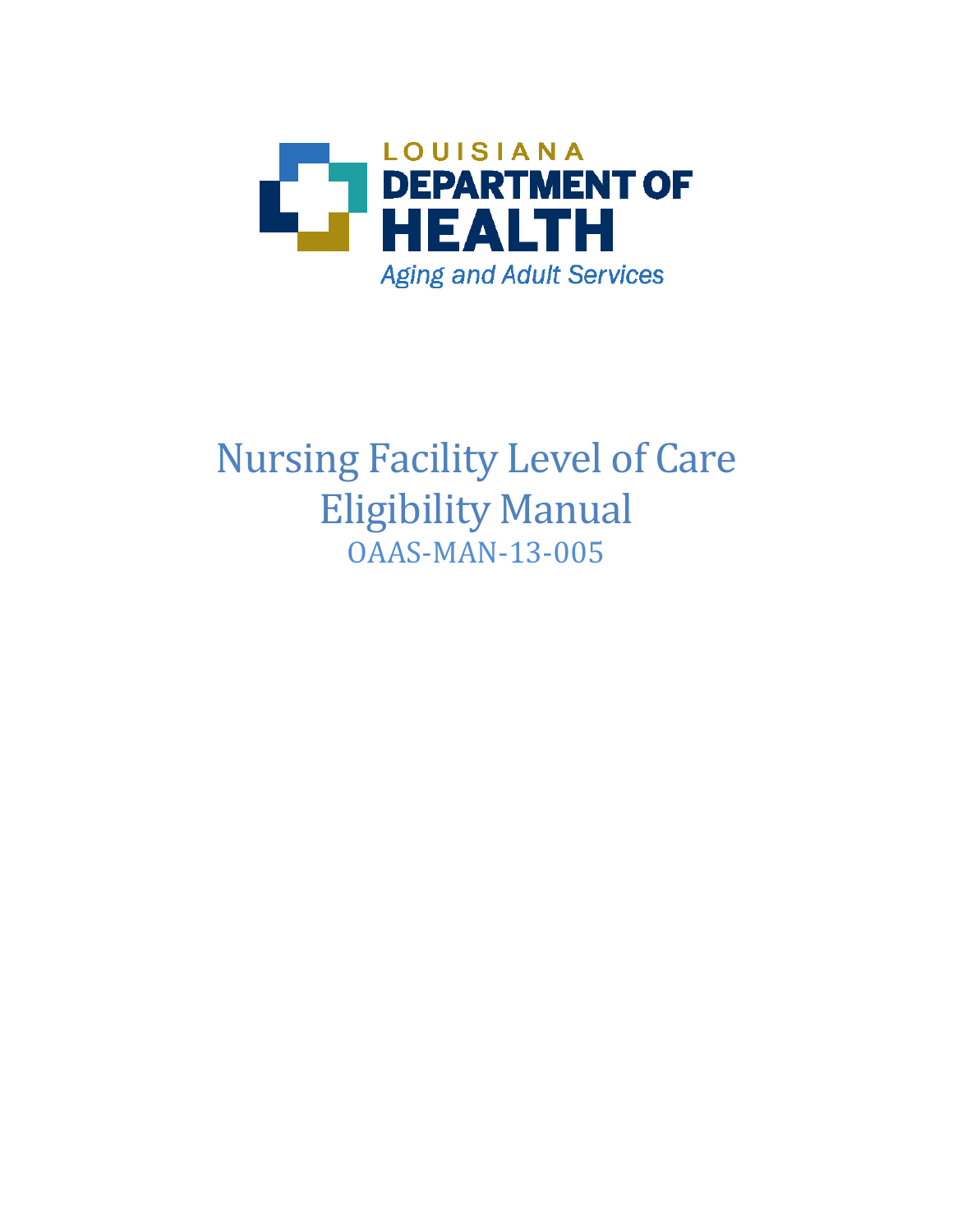

# Nursing Facility Level of Care Eligibility Manual OAAS-MAN-13-005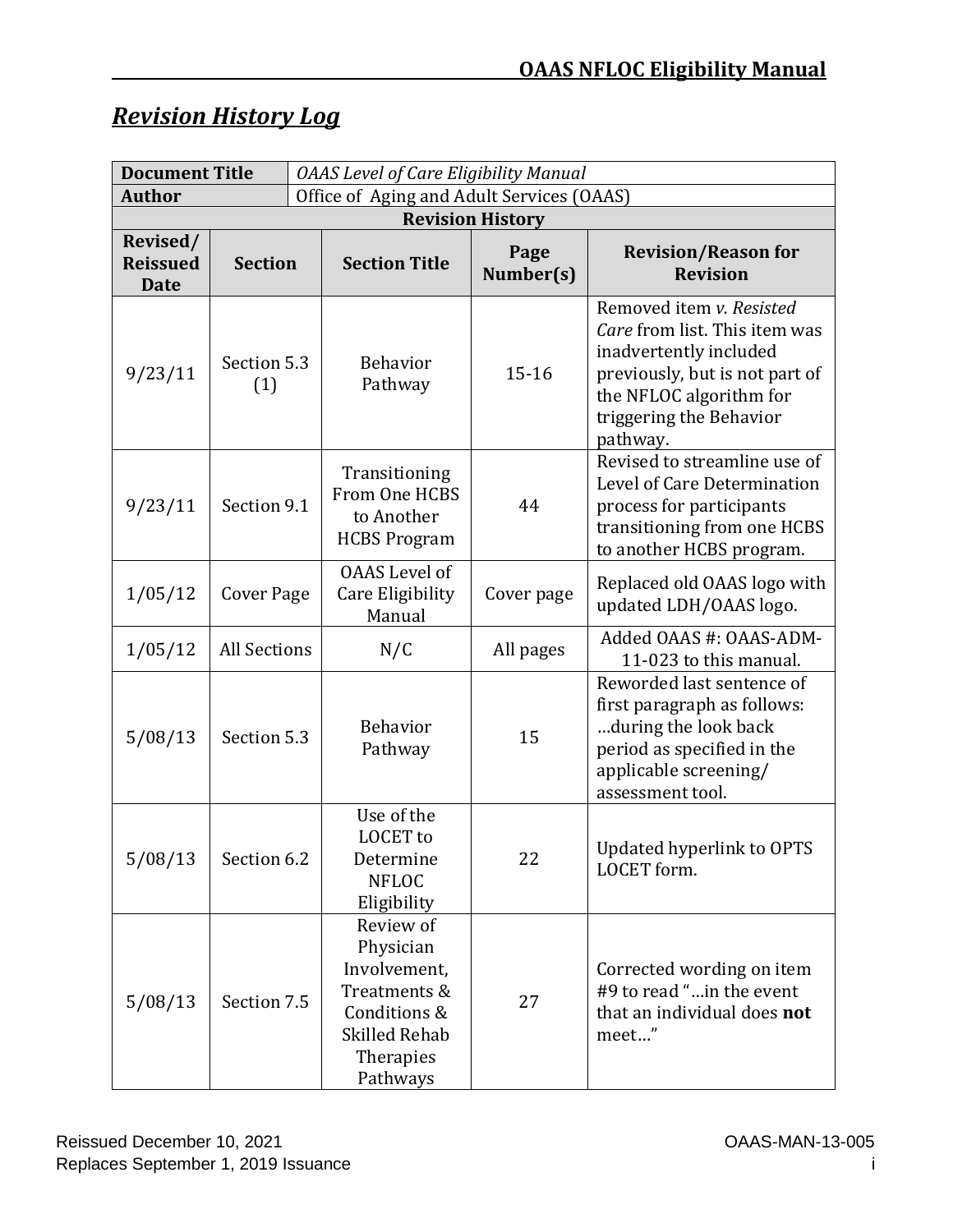# *Revision History Log*

| <b>Document Title</b>                      |                     | <b>OAAS Level of Care Eligibility Manual</b> |                                                                                                                         |                   |                                                                                                                                                                                         |  |
|--------------------------------------------|---------------------|----------------------------------------------|-------------------------------------------------------------------------------------------------------------------------|-------------------|-----------------------------------------------------------------------------------------------------------------------------------------------------------------------------------------|--|
| <b>Author</b>                              |                     | Office of Aging and Adult Services (OAAS)    |                                                                                                                         |                   |                                                                                                                                                                                         |  |
| <b>Revision History</b>                    |                     |                                              |                                                                                                                         |                   |                                                                                                                                                                                         |  |
| Revised/<br><b>Reissued</b><br><b>Date</b> | <b>Section</b>      |                                              | <b>Section Title</b>                                                                                                    | Page<br>Number(s) | <b>Revision/Reason for</b><br><b>Revision</b>                                                                                                                                           |  |
| 9/23/11                                    | Section 5.3<br>(1)  |                                              | <b>Behavior</b><br>Pathway                                                                                              | $15 - 16$         | Removed item v. Resisted<br>Care from list. This item was<br>inadvertently included<br>previously, but is not part of<br>the NFLOC algorithm for<br>triggering the Behavior<br>pathway. |  |
| 9/23/11                                    | Section 9.1         |                                              | Transitioning<br>From One HCBS<br>to Another<br><b>HCBS Program</b>                                                     | 44                | Revised to streamline use of<br>Level of Care Determination<br>process for participants<br>transitioning from one HCBS<br>to another HCBS program.                                      |  |
| 1/05/12                                    | <b>Cover Page</b>   |                                              | <b>OAAS</b> Level of<br>Care Eligibility<br>Manual                                                                      | Cover page        | Replaced old OAAS logo with<br>updated LDH/OAAS logo.                                                                                                                                   |  |
| 1/05/12                                    | <b>All Sections</b> |                                              | N/C                                                                                                                     | All pages         | Added OAAS #: OAAS-ADM-<br>11-023 to this manual.                                                                                                                                       |  |
| 5/08/13                                    | Section 5.3         |                                              | <b>Behavior</b><br>Pathway                                                                                              | 15                | Reworded last sentence of<br>first paragraph as follows:<br>during the look back<br>period as specified in the<br>applicable screening/<br>assessment tool.                             |  |
| $5/08/13$ Section 6.2                      |                     |                                              | Use of the<br><b>LOCET</b> to<br>Determine<br><b>NFLOC</b><br>Eligibility                                               | 22                | Updated hyperlink to OPTS<br>LOCET form.                                                                                                                                                |  |
| 5/08/13                                    | Section 7.5         |                                              | Review of<br>Physician<br>Involvement,<br>Treatments &<br>Conditions &<br><b>Skilled Rehab</b><br>Therapies<br>Pathways | 27                | Corrected wording on item<br>#9 to read "in the event<br>that an individual does not<br>meet"                                                                                           |  |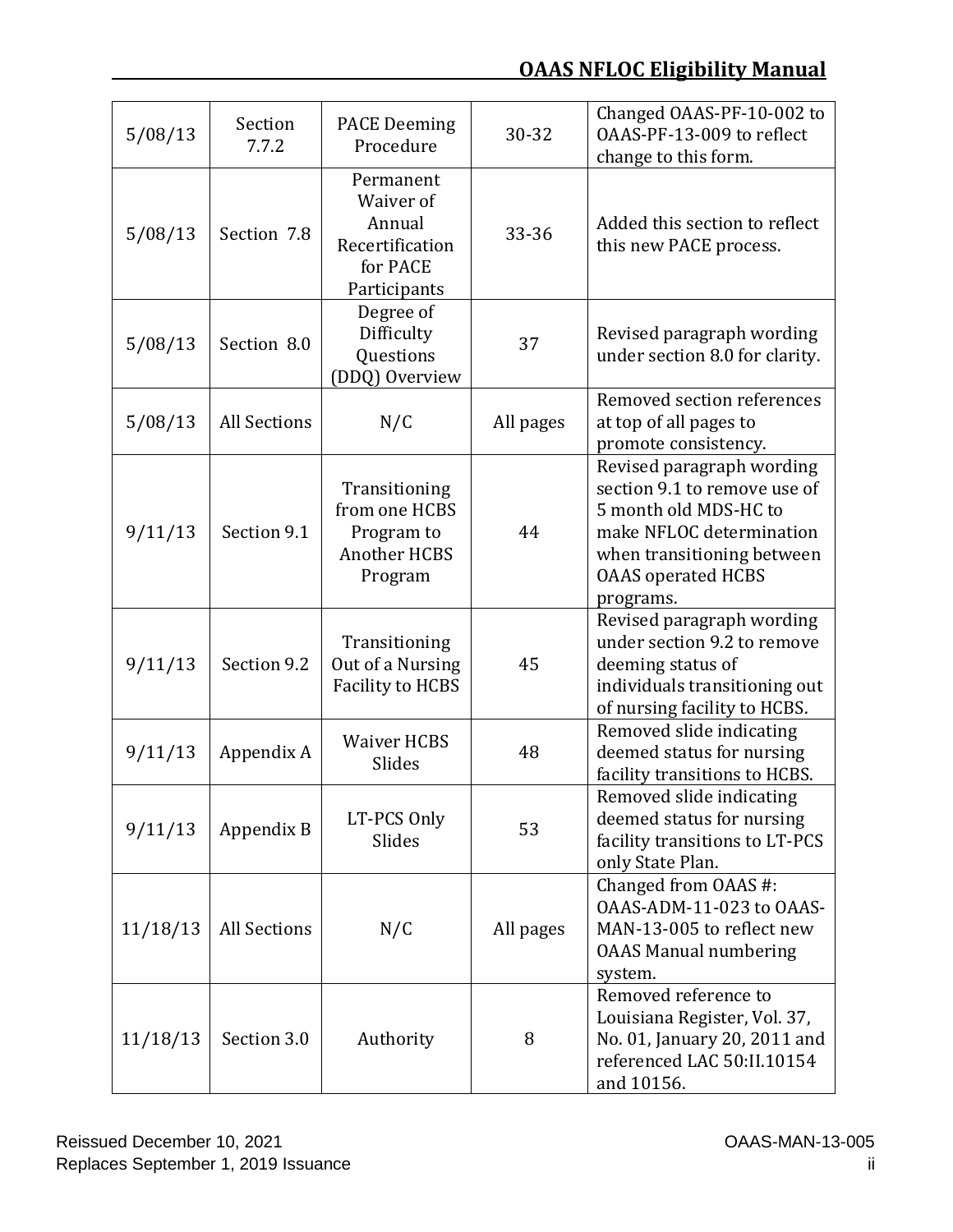# **OAAS NFLOC Eligibility Manual**

| 5/08/13  | Section<br>7.7.2    | <b>PACE Deeming</b><br>Procedure                                                | 30-32     | Changed OAAS-PF-10-002 to<br>OAAS-PF-13-009 to reflect<br>change to this form.                                                                                                         |
|----------|---------------------|---------------------------------------------------------------------------------|-----------|----------------------------------------------------------------------------------------------------------------------------------------------------------------------------------------|
| 5/08/13  | Section 7.8         | Permanent<br>Waiver of<br>Annual<br>Recertification<br>for PACE<br>Participants | 33-36     | Added this section to reflect<br>this new PACE process.                                                                                                                                |
| 5/08/13  | Section 8.0         | Degree of<br>Difficulty<br>Questions<br>(DDQ) Overview                          | 37        | Revised paragraph wording<br>under section 8.0 for clarity.                                                                                                                            |
| 5/08/13  | <b>All Sections</b> | N/C                                                                             | All pages | Removed section references<br>at top of all pages to<br>promote consistency.                                                                                                           |
| 9/11/13  | Section 9.1         | Transitioning<br>from one HCBS<br>Program to<br><b>Another HCBS</b><br>Program  | 44        | Revised paragraph wording<br>section 9.1 to remove use of<br>5 month old MDS-HC to<br>make NFLOC determination<br>when transitioning between<br><b>OAAS</b> operated HCBS<br>programs. |
| 9/11/13  | Section 9.2         | Transitioning<br>Out of a Nursing<br><b>Facility to HCBS</b>                    | 45        | Revised paragraph wording<br>under section 9.2 to remove<br>deeming status of<br>individuals transitioning out<br>of nursing facility to HCBS.                                         |
| 9/11/13  | Appendix A          | <b>Waiver HCBS</b><br>Slides                                                    | 48        | Removed slide indicating<br>deemed status for nursing<br>facility transitions to HCBS.                                                                                                 |
| 9/11/13  | Appendix B          | LT-PCS Only<br>Slides                                                           | 53        | Removed slide indicating<br>deemed status for nursing<br>facility transitions to LT-PCS<br>only State Plan.                                                                            |
| 11/18/13 | <b>All Sections</b> | N/C                                                                             | All pages | Changed from OAAS #:<br>OAAS-ADM-11-023 to OAAS-<br>MAN-13-005 to reflect new<br><b>OAAS Manual numbering</b><br>system.                                                               |
| 11/18/13 | Section 3.0         | Authority                                                                       | 8         | Removed reference to<br>Louisiana Register, Vol. 37,<br>No. 01, January 20, 2011 and<br>referenced LAC 50:II.10154<br>and 10156.                                                       |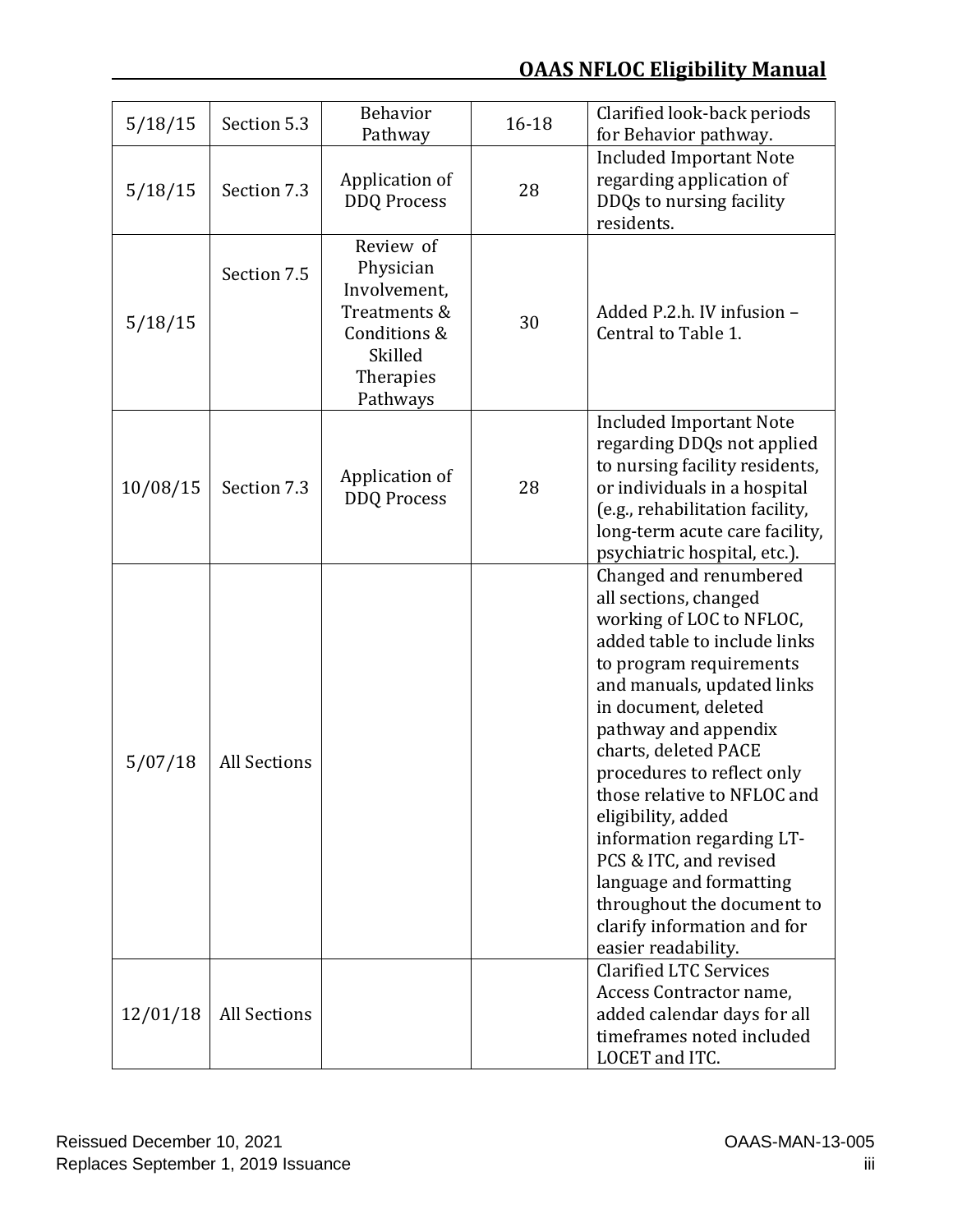# **OAAS NFLOC Eligibility Manual**

| 5/18/15  | Section 5.3         | <b>Behavior</b><br>Pathway                                                                                 | 16-18 | Clarified look-back periods<br>for Behavior pathway.                                                                                                                                                                                                                                                                                                                                                                                                                                                  |
|----------|---------------------|------------------------------------------------------------------------------------------------------------|-------|-------------------------------------------------------------------------------------------------------------------------------------------------------------------------------------------------------------------------------------------------------------------------------------------------------------------------------------------------------------------------------------------------------------------------------------------------------------------------------------------------------|
| 5/18/15  | Section 7.3         | Application of<br><b>DDQ Process</b>                                                                       | 28    | <b>Included Important Note</b><br>regarding application of<br>DDQs to nursing facility<br>residents.                                                                                                                                                                                                                                                                                                                                                                                                  |
| 5/18/15  | Section 7.5         | Review of<br>Physician<br>Involvement,<br>Treatments &<br>Conditions &<br>Skilled<br>Therapies<br>Pathways | 30    | Added P.2.h. IV infusion -<br>Central to Table 1.                                                                                                                                                                                                                                                                                                                                                                                                                                                     |
| 10/08/15 | Section 7.3         | Application of<br><b>DDQ Process</b>                                                                       | 28    | <b>Included Important Note</b><br>regarding DDQs not applied<br>to nursing facility residents,<br>or individuals in a hospital<br>(e.g., rehabilitation facility,<br>long-term acute care facility,<br>psychiatric hospital, etc.).                                                                                                                                                                                                                                                                   |
| 5/07/18  | <b>All Sections</b> |                                                                                                            |       | Changed and renumbered<br>all sections, changed<br>working of LOC to NFLOC,<br>added table to include links<br>to program requirements<br>and manuals, updated links<br>in document, deleted<br>pathway and appendix<br>charts, deleted PACE<br>procedures to reflect only<br>those relative to NFLOC and<br>eligibility, added<br>information regarding LT-<br>PCS & ITC, and revised<br>language and formatting<br>throughout the document to<br>clarify information and for<br>easier readability. |
| 12/01/18 | <b>All Sections</b> |                                                                                                            |       | <b>Clarified LTC Services</b><br>Access Contractor name,<br>added calendar days for all<br>timeframes noted included<br>LOCET and ITC.                                                                                                                                                                                                                                                                                                                                                                |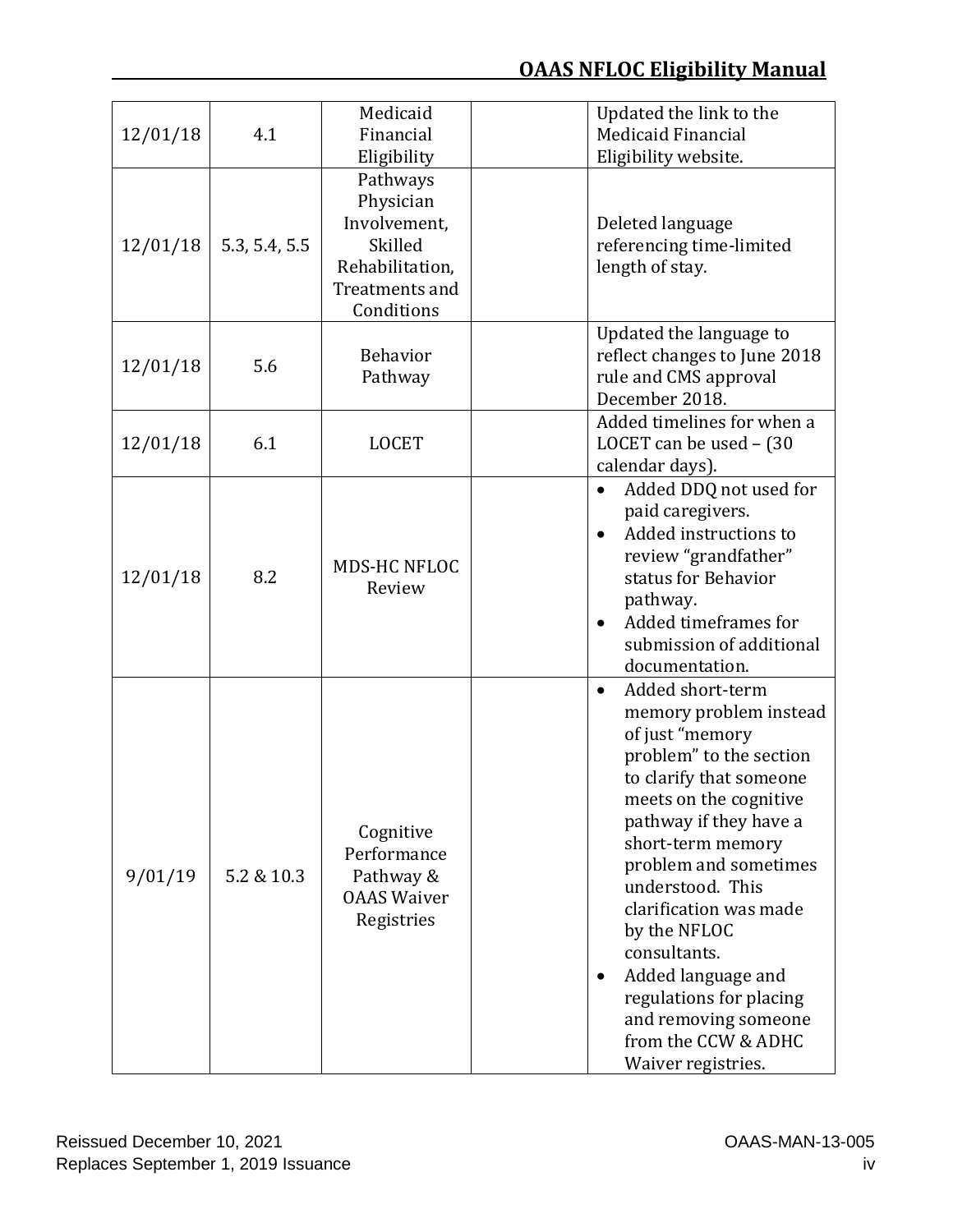| 12/01/18 | 4.1           | Medicaid<br>Financial<br>Eligibility                                                                | Updated the link to the<br>Medicaid Financial<br>Eligibility website.                                                                                                                                                                                                                                                                                                                                                                               |
|----------|---------------|-----------------------------------------------------------------------------------------------------|-----------------------------------------------------------------------------------------------------------------------------------------------------------------------------------------------------------------------------------------------------------------------------------------------------------------------------------------------------------------------------------------------------------------------------------------------------|
| 12/01/18 | 5.3, 5.4, 5.5 | Pathways<br>Physician<br>Involvement,<br>Skilled<br>Rehabilitation,<br>Treatments and<br>Conditions | Deleted language<br>referencing time-limited<br>length of stay.                                                                                                                                                                                                                                                                                                                                                                                     |
| 12/01/18 | 5.6           | <b>Behavior</b><br>Pathway                                                                          | Updated the language to<br>reflect changes to June 2018<br>rule and CMS approval<br>December 2018.                                                                                                                                                                                                                                                                                                                                                  |
| 12/01/18 | 6.1           | <b>LOCET</b>                                                                                        | Added timelines for when a<br>LOCET can be used - (30<br>calendar days).                                                                                                                                                                                                                                                                                                                                                                            |
| 12/01/18 | 8.2           | MDS-HC NFLOC<br>Review                                                                              | Added DDQ not used for<br>$\bullet$<br>paid caregivers.<br>Added instructions to<br>review "grandfather"<br>status for Behavior<br>pathway.<br>Added timeframes for<br>$\bullet$<br>submission of additional<br>documentation.                                                                                                                                                                                                                      |
| 9/01/19  | 5.2 & 10.3    | Cognitive<br>Performance<br>Pathway &<br><b>OAAS Waiver</b><br>Registries                           | Added short-term<br>$\bullet$<br>memory problem instead<br>of just "memory<br>problem" to the section<br>to clarify that someone<br>meets on the cognitive<br>pathway if they have a<br>short-term memory<br>problem and sometimes<br>understood. This<br>clarification was made<br>by the NFLOC<br>consultants.<br>Added language and<br>$\bullet$<br>regulations for placing<br>and removing someone<br>from the CCW & ADHC<br>Waiver registries. |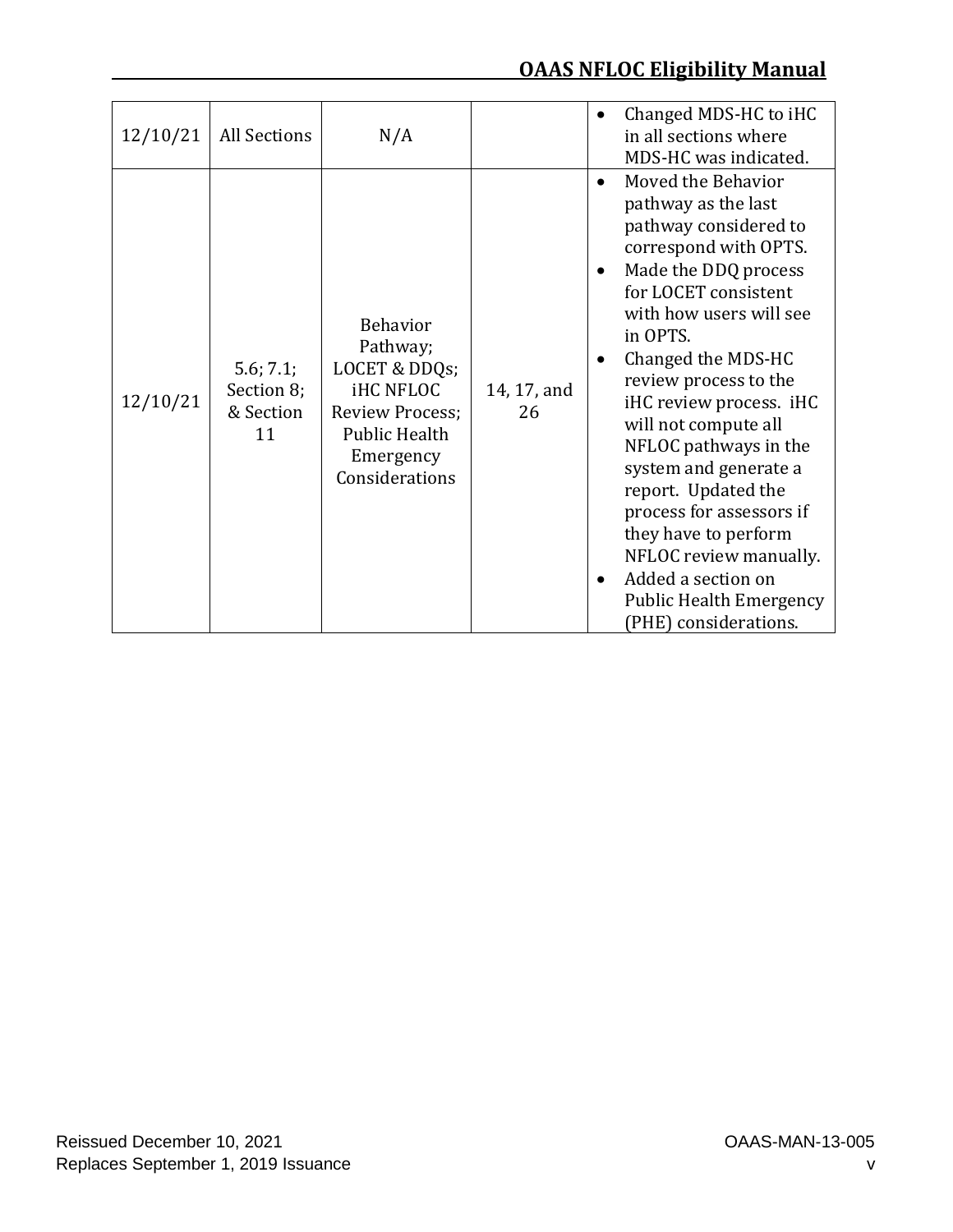# **OAAS NFLOC Eligibility Manual**

| 12/10/21 | All Sections                               | N/A                                                                                                                                        |                   | Changed MDS-HC to iHC<br>$\bullet$<br>in all sections where<br>MDS-HC was indicated.                                                                                                                                                                                                                                                                                                                                                                                                                                                                                     |
|----------|--------------------------------------------|--------------------------------------------------------------------------------------------------------------------------------------------|-------------------|--------------------------------------------------------------------------------------------------------------------------------------------------------------------------------------------------------------------------------------------------------------------------------------------------------------------------------------------------------------------------------------------------------------------------------------------------------------------------------------------------------------------------------------------------------------------------|
| 12/10/21 | 5.6; 7.1;<br>Section 8;<br>& Section<br>11 | <b>Behavior</b><br>Pathway;<br>LOCET & DDQs;<br><b>iHC NFLOC</b><br>Review Process;<br><b>Public Health</b><br>Emergency<br>Considerations | 14, 17, and<br>26 | Moved the Behavior<br>$\bullet$<br>pathway as the last<br>pathway considered to<br>correspond with OPTS.<br>Made the DDQ process<br>$\bullet$<br>for LOCET consistent<br>with how users will see<br>in OPTS.<br>Changed the MDS-HC<br>٠<br>review process to the<br>iHC review process. iHC<br>will not compute all<br>NFLOC pathways in the<br>system and generate a<br>report. Updated the<br>process for assessors if<br>they have to perform<br>NFLOC review manually.<br>Added a section on<br>$\bullet$<br><b>Public Health Emergency</b><br>(PHE) considerations. |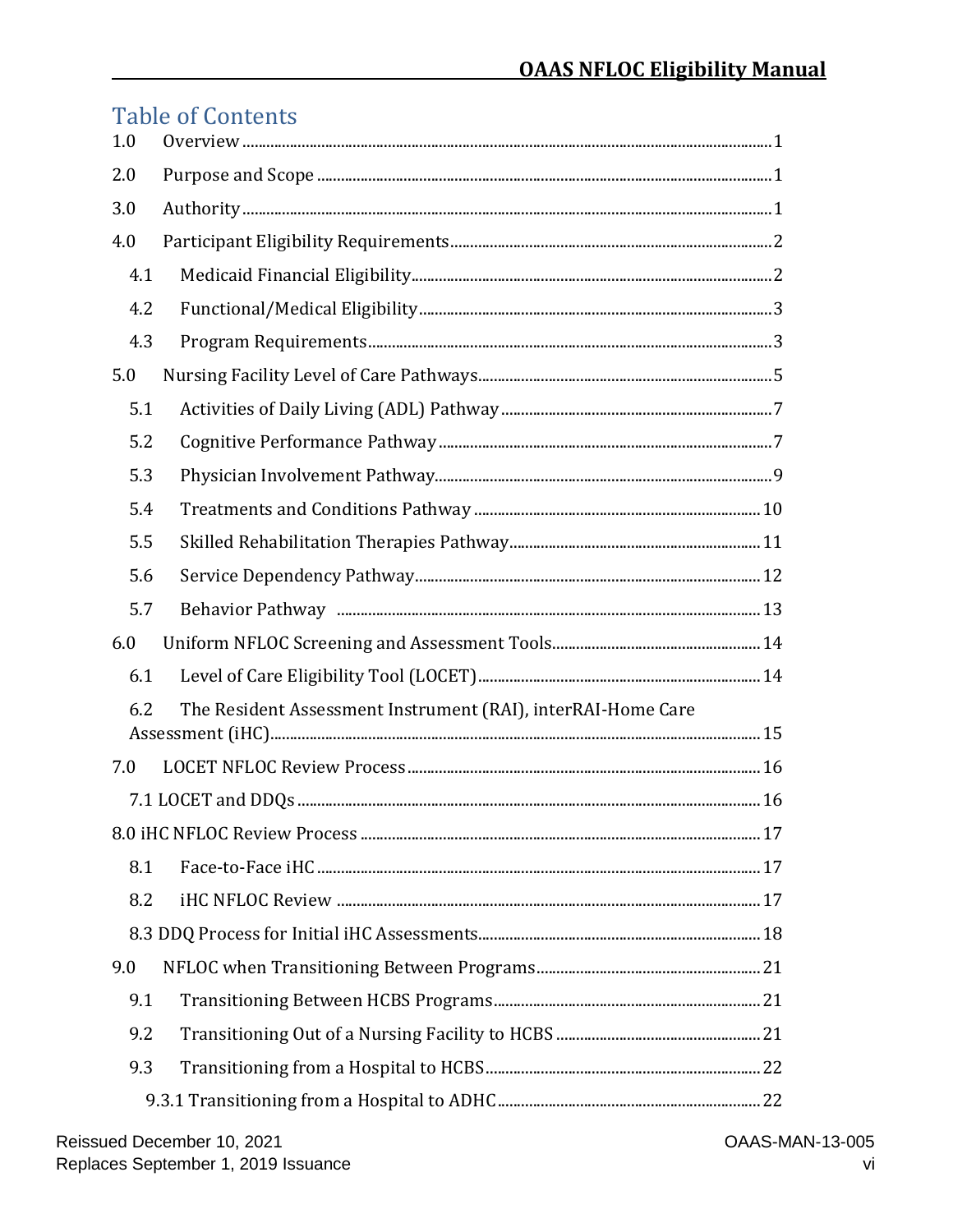# **Table of Contents**

| 1.0 |                                                              |  |  |  |  |
|-----|--------------------------------------------------------------|--|--|--|--|
| 2.0 |                                                              |  |  |  |  |
| 3.0 |                                                              |  |  |  |  |
| 4.0 |                                                              |  |  |  |  |
| 4.1 |                                                              |  |  |  |  |
| 4.2 |                                                              |  |  |  |  |
| 4.3 |                                                              |  |  |  |  |
| 5.0 |                                                              |  |  |  |  |
| 5.1 |                                                              |  |  |  |  |
| 5.2 |                                                              |  |  |  |  |
| 5.3 |                                                              |  |  |  |  |
| 5.4 |                                                              |  |  |  |  |
| 5.5 |                                                              |  |  |  |  |
| 5.6 |                                                              |  |  |  |  |
| 5.7 |                                                              |  |  |  |  |
| 6.0 |                                                              |  |  |  |  |
| 6.1 |                                                              |  |  |  |  |
| 6.2 | The Resident Assessment Instrument (RAI), interRAI-Home Care |  |  |  |  |
| 7.0 |                                                              |  |  |  |  |
|     |                                                              |  |  |  |  |
|     |                                                              |  |  |  |  |
| 8.1 |                                                              |  |  |  |  |
| 8.2 |                                                              |  |  |  |  |
|     |                                                              |  |  |  |  |
| 9.0 |                                                              |  |  |  |  |
| 9.1 |                                                              |  |  |  |  |
| 9.2 |                                                              |  |  |  |  |
| 9.3 |                                                              |  |  |  |  |
|     |                                                              |  |  |  |  |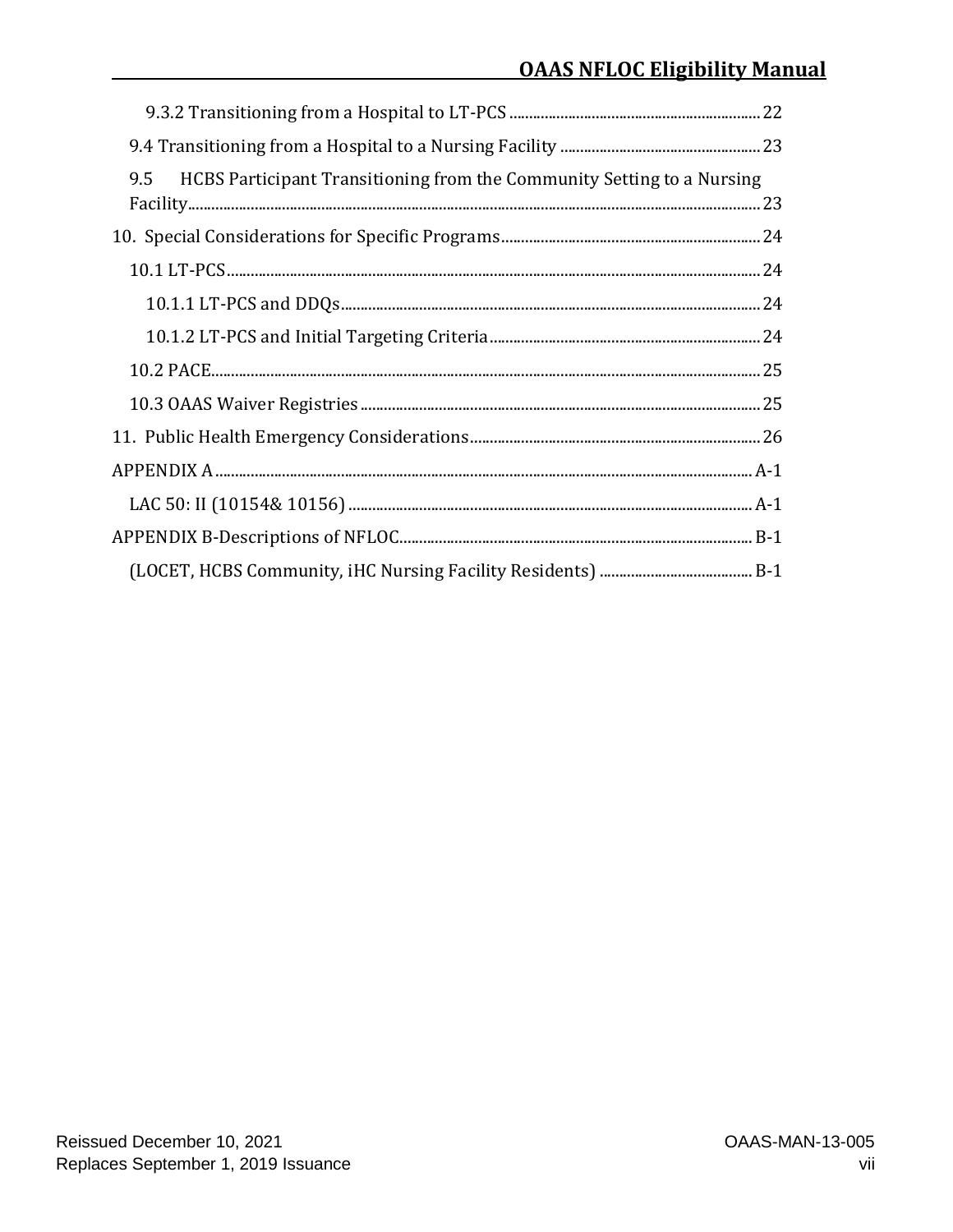| 9.5<br>HCBS Participant Transitioning from the Community Setting to a Nursing |  |
|-------------------------------------------------------------------------------|--|
|                                                                               |  |
|                                                                               |  |
|                                                                               |  |
|                                                                               |  |
|                                                                               |  |
|                                                                               |  |
|                                                                               |  |
|                                                                               |  |
|                                                                               |  |
|                                                                               |  |
|                                                                               |  |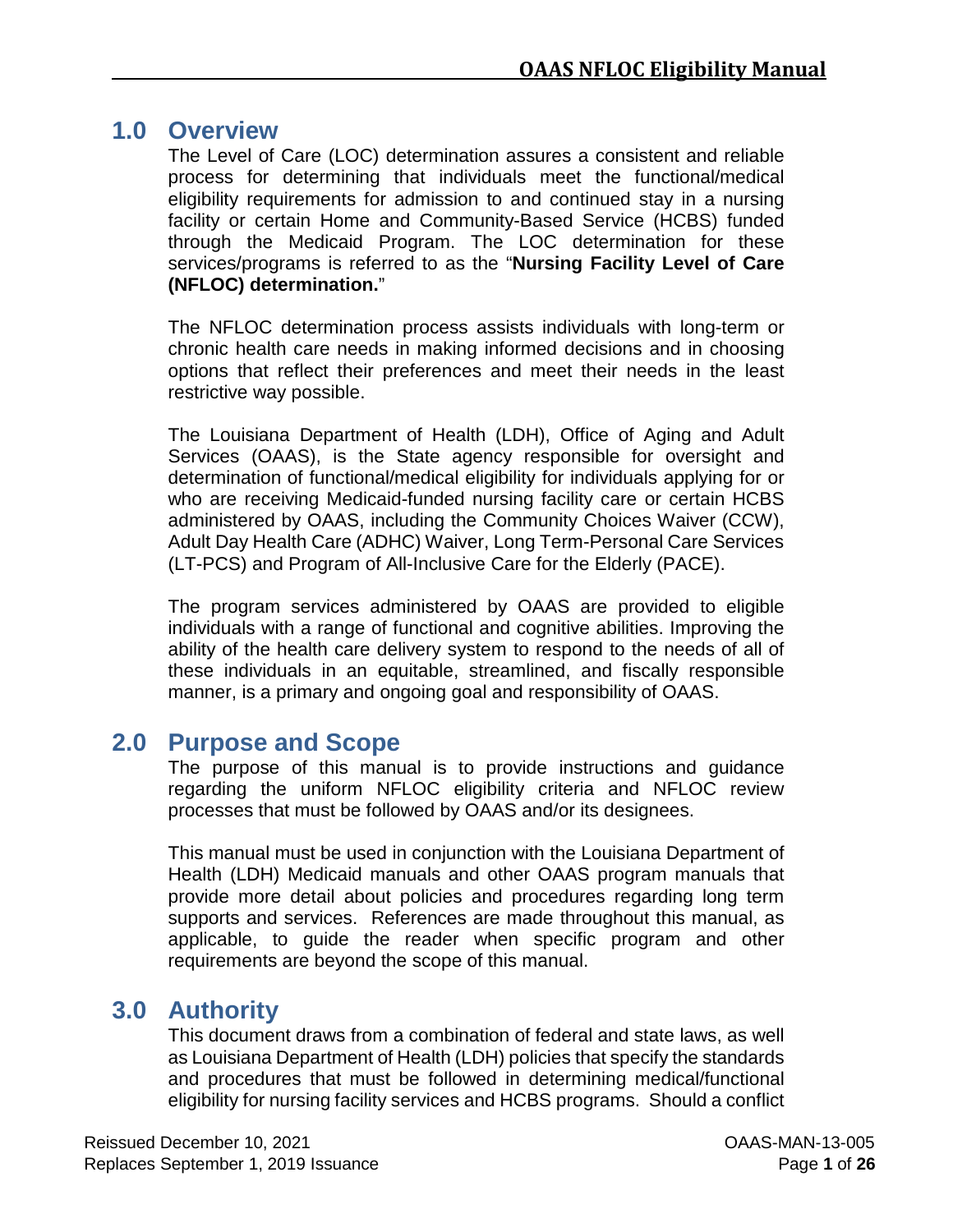## <span id="page-8-0"></span>**1.0 Overview**

The Level of Care (LOC) determination assures a consistent and reliable process for determining that individuals meet the functional/medical eligibility requirements for admission to and continued stay in a nursing facility or certain Home and Community-Based Service (HCBS) funded through the Medicaid Program. The LOC determination for these services/programs is referred to as the "**Nursing Facility Level of Care (NFLOC) determination.**"

The NFLOC determination process assists individuals with long-term or chronic health care needs in making informed decisions and in choosing options that reflect their preferences and meet their needs in the least restrictive way possible.

The Louisiana Department of Health (LDH), Office of Aging and Adult Services (OAAS), is the State agency responsible for oversight and determination of functional/medical eligibility for individuals applying for or who are receiving Medicaid-funded nursing facility care or certain HCBS administered by OAAS, including the Community Choices Waiver (CCW), Adult Day Health Care (ADHC) Waiver, Long Term-Personal Care Services (LT-PCS) and Program of All-Inclusive Care for the Elderly (PACE).

The program services administered by OAAS are provided to eligible individuals with a range of functional and cognitive abilities. Improving the ability of the health care delivery system to respond to the needs of all of these individuals in an equitable, streamlined, and fiscally responsible manner, is a primary and ongoing goal and responsibility of OAAS.

## <span id="page-8-1"></span>**2.0 Purpose and Scope**

The purpose of this manual is to provide instructions and guidance regarding the uniform NFLOC eligibility criteria and NFLOC review processes that must be followed by OAAS and/or its designees.

This manual must be used in conjunction with the Louisiana Department of Health (LDH) Medicaid manuals and other OAAS program manuals that provide more detail about policies and procedures regarding long term supports and services. References are made throughout this manual, as applicable, to guide the reader when specific program and other requirements are beyond the scope of this manual.

# <span id="page-8-2"></span>**3.0 Authority**

This document draws from a combination of federal and state laws, as well as Louisiana Department of Health (LDH) policies that specify the standards and procedures that must be followed in determining medical/functional eligibility for nursing facility services and HCBS programs. Should a conflict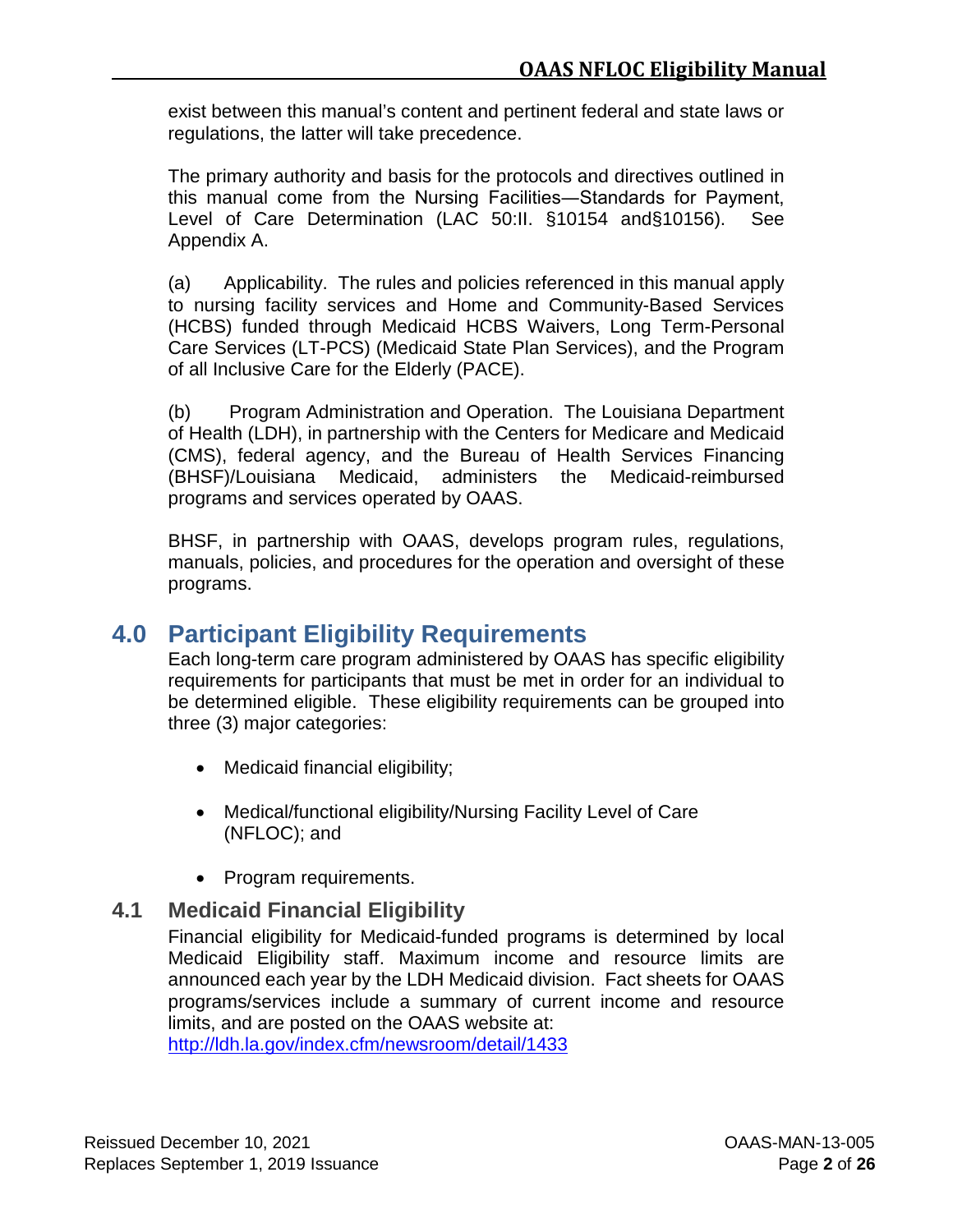exist between this manual's content and pertinent federal and state laws or regulations, the latter will take precedence.

The primary authority and basis for the protocols and directives outlined in this manual come from the Nursing Facilities―Standards for Payment, Level of Care Determination (LAC 50:II. §10154 and§10156). See Appendix A.

(a) Applicability. The rules and policies referenced in this manual apply to nursing facility services and Home and Community-Based Services (HCBS) funded through Medicaid HCBS Waivers, Long Term-Personal Care Services (LT-PCS) (Medicaid State Plan Services), and the Program of all Inclusive Care for the Elderly (PACE).

(b) Program Administration and Operation. The Louisiana Department of Health (LDH), in partnership with the Centers for Medicare and Medicaid (CMS), federal agency, and the Bureau of Health Services Financing (BHSF)/Louisiana Medicaid, administers the Medicaid-reimbursed programs and services operated by OAAS.

BHSF, in partnership with OAAS, develops program rules, regulations, manuals, policies, and procedures for the operation and oversight of these programs.

# <span id="page-9-0"></span>**4.0 Participant Eligibility Requirements**

Each long-term care program administered by OAAS has specific eligibility requirements for participants that must be met in order for an individual to be determined eligible. These eligibility requirements can be grouped into three (3) major categories:

- Medicaid financial eligibility;
- Medical/functional eligibility/Nursing Facility Level of Care (NFLOC); and
- Program requirements.

## <span id="page-9-1"></span>**4.1 Medicaid Financial Eligibility**

Financial eligibility for Medicaid-funded programs is determined by local Medicaid Eligibility staff. Maximum income and resource limits are announced each year by the LDH Medicaid division. Fact sheets for OAAS programs/services include a summary of current income and resource limits, and are posted on the OAAS website at: <http://ldh.la.gov/index.cfm/newsroom/detail/1433>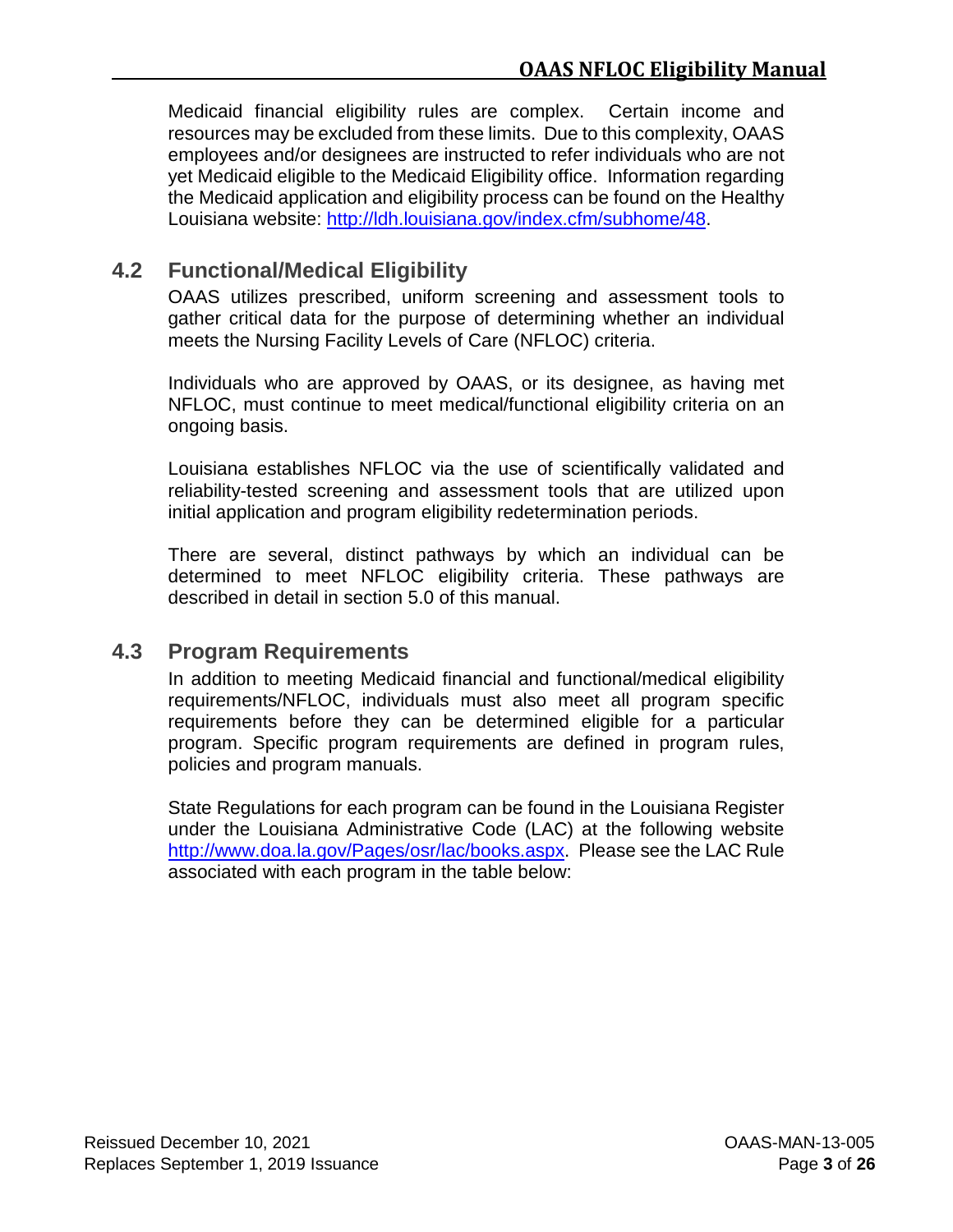Medicaid financial eligibility rules are complex. Certain income and resources may be excluded from these limits. Due to this complexity, OAAS employees and/or designees are instructed to refer individuals who are not yet Medicaid eligible to the Medicaid Eligibility office. Information regarding the Medicaid application and eligibility process can be found on the Healthy Louisiana website: [http://ldh.louisiana.gov/index.cfm/subhome/48.](http://ldh.louisiana.gov/index.cfm/subhome/48)

## <span id="page-10-0"></span>**4.2 Functional/Medical Eligibility**

OAAS utilizes prescribed, uniform screening and assessment tools to gather critical data for the purpose of determining whether an individual meets the Nursing Facility Levels of Care (NFLOC) criteria.

Individuals who are approved by OAAS, or its designee, as having met NFLOC, must continue to meet medical/functional eligibility criteria on an ongoing basis.

Louisiana establishes NFLOC via the use of scientifically validated and reliability-tested screening and assessment tools that are utilized upon initial application and program eligibility redetermination periods.

There are several, distinct pathways by which an individual can be determined to meet NFLOC eligibility criteria. These pathways are described in detail in [section 5.0](#page-12-0) of this manual.

## <span id="page-10-1"></span>**4.3 Program Requirements**

In addition to meeting Medicaid financial and functional/medical eligibility requirements/NFLOC, individuals must also meet all program specific requirements before they can be determined eligible for a particular program. Specific program requirements are defined in program rules, policies and program manuals.

State Regulations for each program can be found in the Louisiana Register under the Louisiana Administrative Code (LAC) at the following website [http://www.doa.la.gov/Pages/osr/lac/books.aspx.](http://www.doa.la.gov/Pages/osr/lac/books.aspx) Please see the LAC Rule associated with each program in the table below: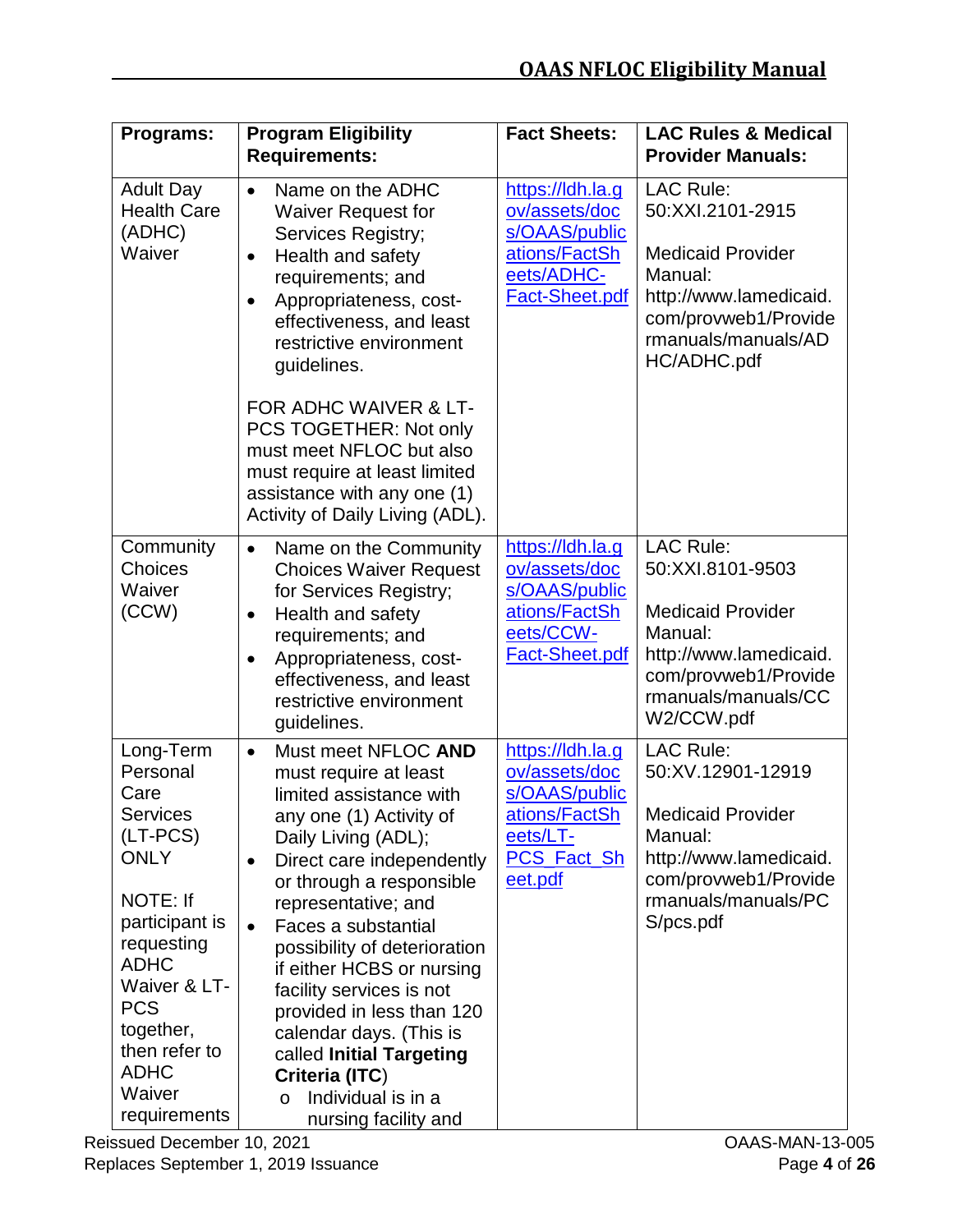| Programs:                                                                                                                                                                                                                                   | <b>Program Eligibility</b><br><b>Requirements:</b>                                                                                                                                                                                                                                                                                                                                                                                                                                                                              | <b>Fact Sheets:</b>                                                                                              | <b>LAC Rules &amp; Medical</b><br><b>Provider Manuals:</b>                                                                                                          |
|---------------------------------------------------------------------------------------------------------------------------------------------------------------------------------------------------------------------------------------------|---------------------------------------------------------------------------------------------------------------------------------------------------------------------------------------------------------------------------------------------------------------------------------------------------------------------------------------------------------------------------------------------------------------------------------------------------------------------------------------------------------------------------------|------------------------------------------------------------------------------------------------------------------|---------------------------------------------------------------------------------------------------------------------------------------------------------------------|
| <b>Adult Day</b><br><b>Health Care</b><br>(ADHC)<br>Waiver                                                                                                                                                                                  | Name on the ADHC<br>$\bullet$<br><b>Waiver Request for</b><br>Services Registry;<br>Health and safety<br>$\bullet$<br>requirements; and<br>Appropriateness, cost-<br>$\bullet$<br>effectiveness, and least<br>restrictive environment<br>guidelines.<br>FOR ADHC WAIVER & LT-<br>PCS TOGETHER: Not only<br>must meet NFLOC but also<br>must require at least limited<br>assistance with any one (1)<br>Activity of Daily Living (ADL).                                                                                          | https://ldh.la.g<br>ov/assets/doc<br>s/OAAS/public<br>ations/FactSh<br>eets/ADHC-<br>Fact-Sheet.pdf              | <b>LAC Rule:</b><br>50:XXI.2101-2915<br><b>Medicaid Provider</b><br>Manual:<br>http://www.lamedicaid.<br>com/provweb1/Provide<br>rmanuals/manuals/AD<br>HC/ADHC.pdf |
| Community<br><b>Choices</b><br>Waiver<br>(CCW)                                                                                                                                                                                              | Name on the Community<br>$\bullet$<br><b>Choices Waiver Request</b><br>for Services Registry;<br>Health and safety<br>$\bullet$<br>requirements; and<br>Appropriateness, cost-<br>$\bullet$<br>effectiveness, and least<br>restrictive environment<br>guidelines.                                                                                                                                                                                                                                                               | https://ldh.la.g<br>ov/assets/doc<br>s/OAAS/public<br>ations/FactSh<br>eets/CCW-<br>Fact-Sheet.pdf               | <b>LAC Rule:</b><br>50:XXI.8101-9503<br><b>Medicaid Provider</b><br>Manual:<br>http://www.lamedicaid.<br>com/provweb1/Provide<br>rmanuals/manuals/CC<br>W2/CCW.pdf  |
| Long-Term<br>Personal<br>Care<br><b>Services</b><br>(LT-PCS)<br><b>ONLY</b><br>NOTE: If<br>participant is<br>requesting<br><b>ADHC</b><br>Waiver & LT-<br><b>PCS</b><br>together,<br>then refer to<br><b>ADHC</b><br>Waiver<br>requirements | Must meet NFLOC AND<br>$\bullet$<br>must require at least<br>limited assistance with<br>any one (1) Activity of<br>Daily Living (ADL);<br>Direct care independently<br>$\bullet$<br>or through a responsible<br>representative; and<br>Faces a substantial<br>$\bullet$<br>possibility of deterioration<br>if either HCBS or nursing<br>facility services is not<br>provided in less than 120<br>calendar days. (This is<br>called Initial Targeting<br>Criteria (ITC)<br>Individual is in a<br>$\circ$<br>nursing facility and | https://ldh.la.g<br>ov/assets/doc<br>s/OAAS/public<br>ations/FactSh<br>eets/LT-<br><b>PCS_Fact_Sh</b><br>eet.pdf | <b>LAC Rule:</b><br>50:XV.12901-12919<br><b>Medicaid Provider</b><br>Manual:<br>http://www.lamedicaid.<br>com/provweb1/Provide<br>rmanuals/manuals/PC<br>S/pcs.pdf  |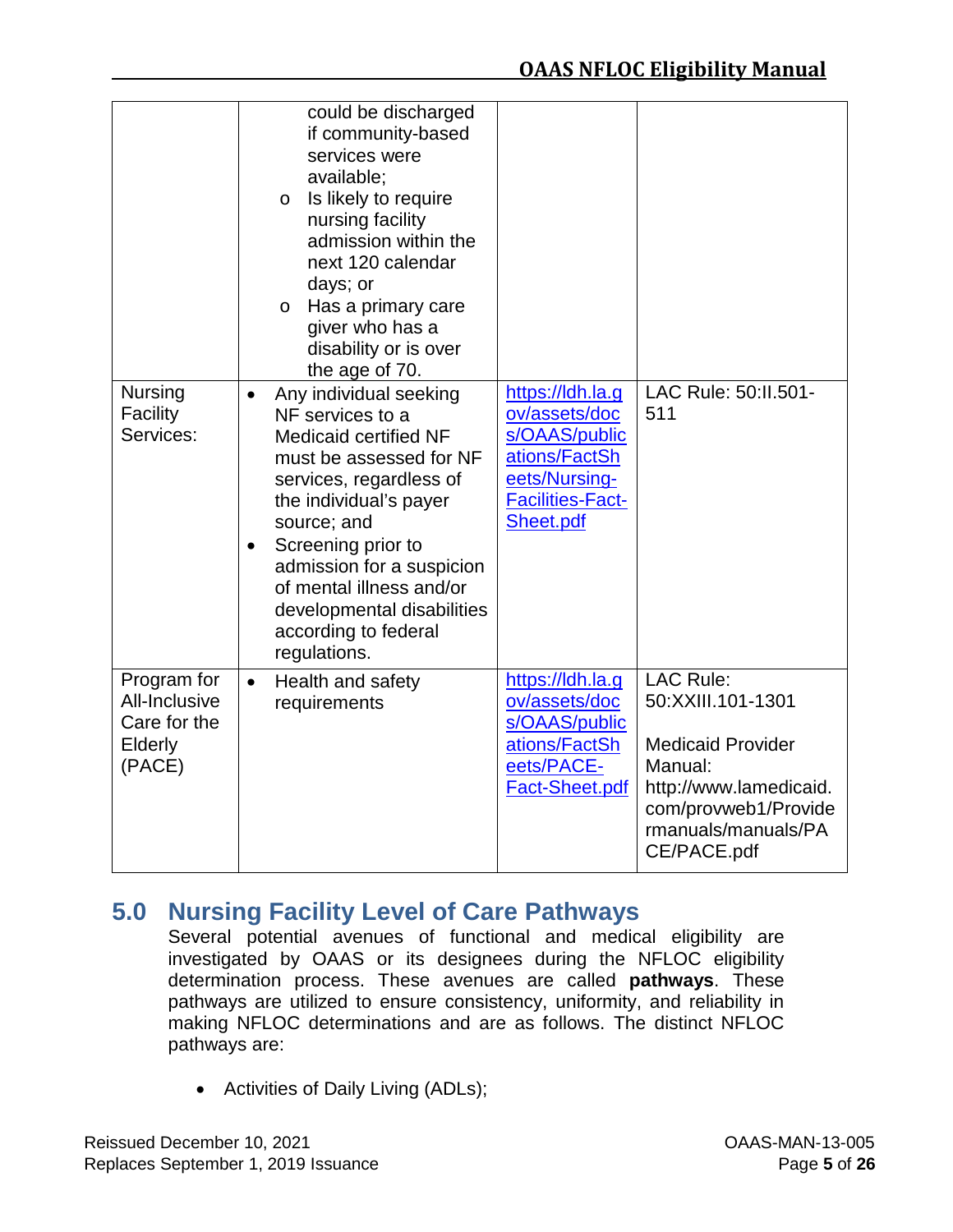|                                                                          | could be discharged<br>if community-based<br>services were<br>available;<br>Is likely to require<br>$\circ$<br>nursing facility<br>admission within the<br>next 120 calendar<br>days; or<br>Has a primary care<br>$\circ$<br>giver who has a<br>disability or is over<br>the age of 70.                                              |                                                                                                                              |                                                                                                                                                                      |
|--------------------------------------------------------------------------|--------------------------------------------------------------------------------------------------------------------------------------------------------------------------------------------------------------------------------------------------------------------------------------------------------------------------------------|------------------------------------------------------------------------------------------------------------------------------|----------------------------------------------------------------------------------------------------------------------------------------------------------------------|
| <b>Nursing</b><br>Facility<br>Services:                                  | Any individual seeking<br>$\bullet$<br>NF services to a<br>Medicaid certified NF<br>must be assessed for NF<br>services, regardless of<br>the individual's payer<br>source; and<br>Screening prior to<br>admission for a suspicion<br>of mental illness and/or<br>developmental disabilities<br>according to federal<br>regulations. | https://ldh.la.g<br>ov/assets/doc<br>s/OAAS/public<br>ations/FactSh<br>eets/Nursing-<br><b>Facilities-Fact-</b><br>Sheet.pdf | LAC Rule: 50:11.501-<br>511                                                                                                                                          |
| Program for<br>All-Inclusive<br>Care for the<br><b>Elderly</b><br>(PACE) | Health and safety<br>$\bullet$<br>requirements                                                                                                                                                                                                                                                                                       | https://ldh.la.g<br>ov/assets/doc<br>s/OAAS/public<br>ations/FactSh<br>eets/PACE-<br>Fact-Sheet.pdf                          | <b>LAC Rule:</b><br>50:XXIII.101-1301<br><b>Medicaid Provider</b><br>Manual:<br>http://www.lamedicaid.<br>com/provweb1/Provide<br>rmanuals/manuals/PA<br>CE/PACE.pdf |

# <span id="page-12-0"></span>**5.0 Nursing Facility Level of Care Pathways**

Several potential avenues of functional and medical eligibility are investigated by OAAS or its designees during the NFLOC eligibility determination process. These avenues are called **pathways**. These pathways are utilized to ensure consistency, uniformity, and reliability in making NFLOC determinations and are as follows. The distinct NFLOC pathways are:

• Activities of Daily Living (ADLs);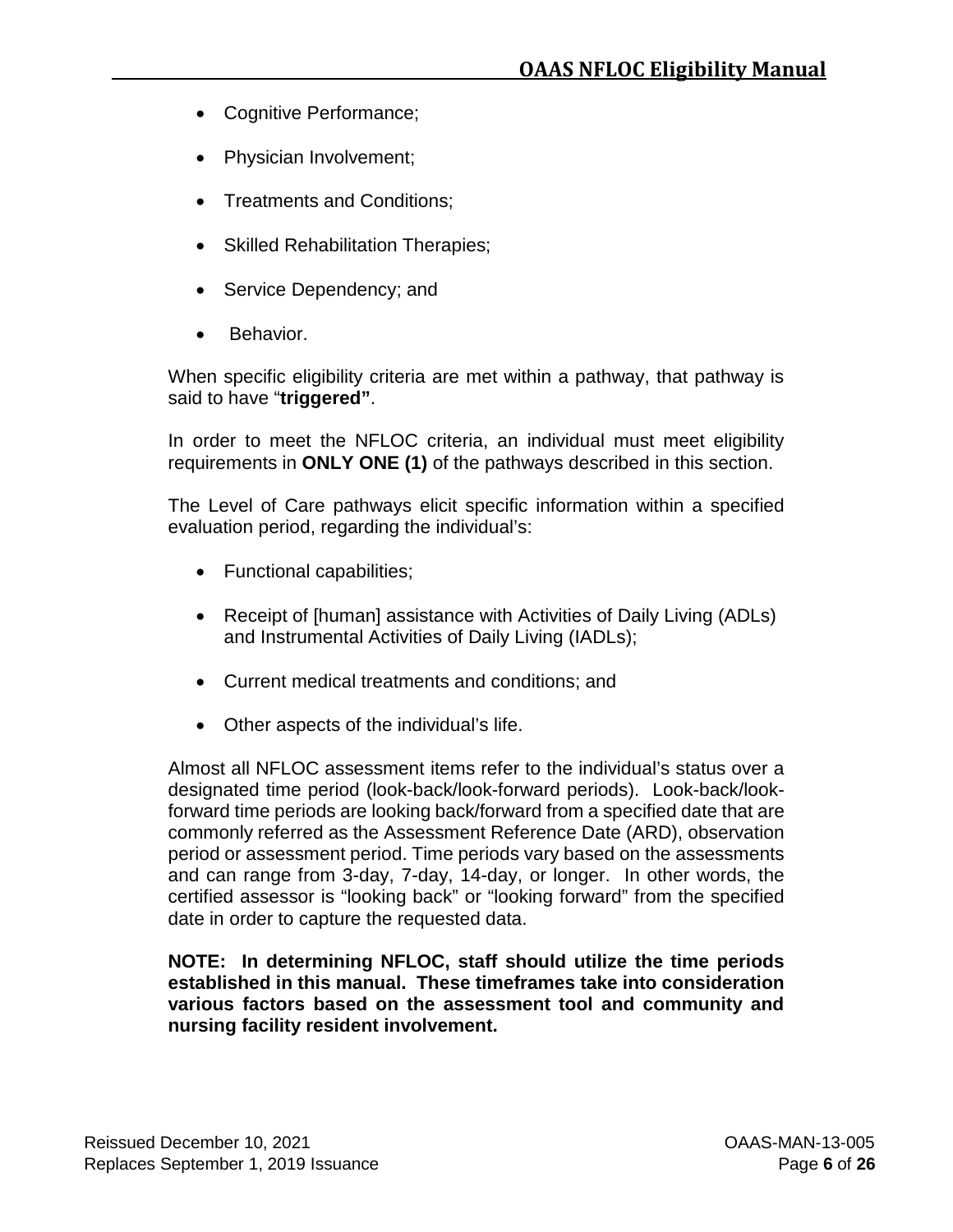- Cognitive Performance;
- Physician Involvement;
- Treatments and Conditions;
- Skilled Rehabilitation Therapies;
- Service Dependency; and
- Behavior.

When specific eligibility criteria are met within a pathway, that pathway is said to have "**triggered"**.

In order to meet the NFLOC criteria, an individual must meet eligibility requirements in **ONLY ONE (1)** of the pathways described in this section.

The Level of Care pathways elicit specific information within a specified evaluation period, regarding the individual's:

- Functional capabilities;
- Receipt of [human] assistance with Activities of Daily Living (ADLs) and Instrumental Activities of Daily Living (IADLs);
- Current medical treatments and conditions; and
- Other aspects of the individual's life.

Almost all NFLOC assessment items refer to the individual's status over a designated time period (look-back/look-forward periods). Look-back/lookforward time periods are looking back/forward from a specified date that are commonly referred as the Assessment Reference Date (ARD), observation period or assessment period. Time periods vary based on the assessments and can range from 3-day, 7-day, 14-day, or longer. In other words, the certified assessor is "looking back" or "looking forward" from the specified date in order to capture the requested data.

#### **NOTE: In determining NFLOC, staff should utilize the time periods established in this manual. These timeframes take into consideration various factors based on the assessment tool and community and nursing facility resident involvement.**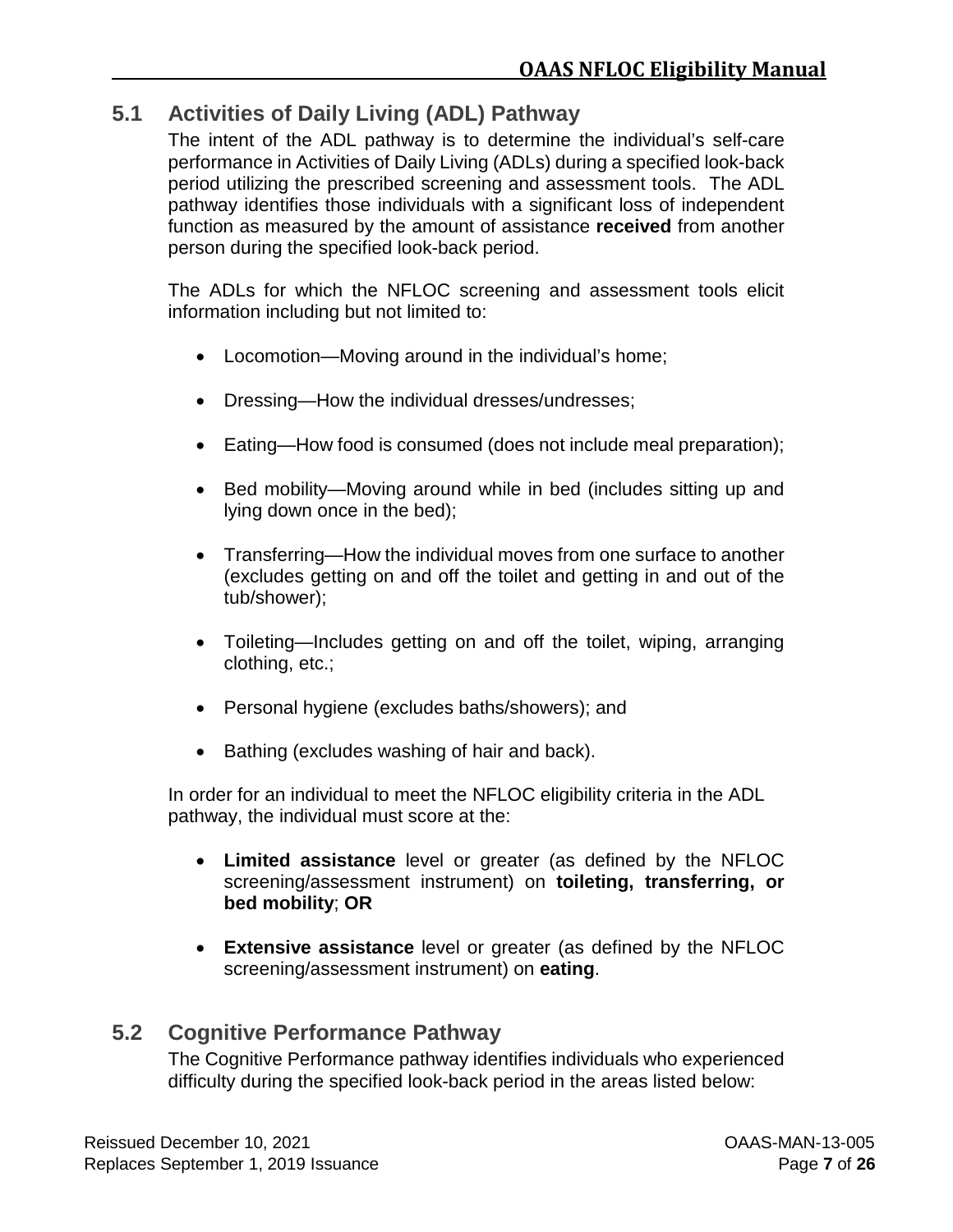## <span id="page-14-0"></span>**5.1 Activities of Daily Living (ADL) Pathway**

The intent of the ADL pathway is to determine the individual's self-care performance in Activities of Daily Living (ADLs) during a specified look-back period utilizing the prescribed screening and assessment tools. The ADL pathway identifies those individuals with a significant loss of independent function as measured by the amount of assistance **received** from another person during the specified look-back period.

The ADLs for which the NFLOC screening and assessment tools elicit information including but not limited to:

- Locomotion—Moving around in the individual's home;
- Dressing—How the individual dresses/undresses;
- Eating—How food is consumed (does not include meal preparation);
- Bed mobility—Moving around while in bed (includes sitting up and lying down once in the bed);
- Transferring—How the individual moves from one surface to another (excludes getting on and off the toilet and getting in and out of the tub/shower);
- Toileting—Includes getting on and off the toilet, wiping, arranging clothing, etc.;
- Personal hygiene (excludes baths/showers); and
- Bathing (excludes washing of hair and back).

In order for an individual to meet the NFLOC eligibility criteria in the ADL pathway, the individual must score at the:

- **Limited assistance** level or greater (as defined by the NFLOC screening/assessment instrument) on **toileting, transferring, or bed mobility**; **OR**
- **Extensive assistance** level or greater (as defined by the NFLOC screening/assessment instrument) on **eating**.

## <span id="page-14-1"></span>**5.2 Cognitive Performance Pathway**

The Cognitive Performance pathway identifies individuals who experienced difficulty during the specified look-back period in the areas listed below: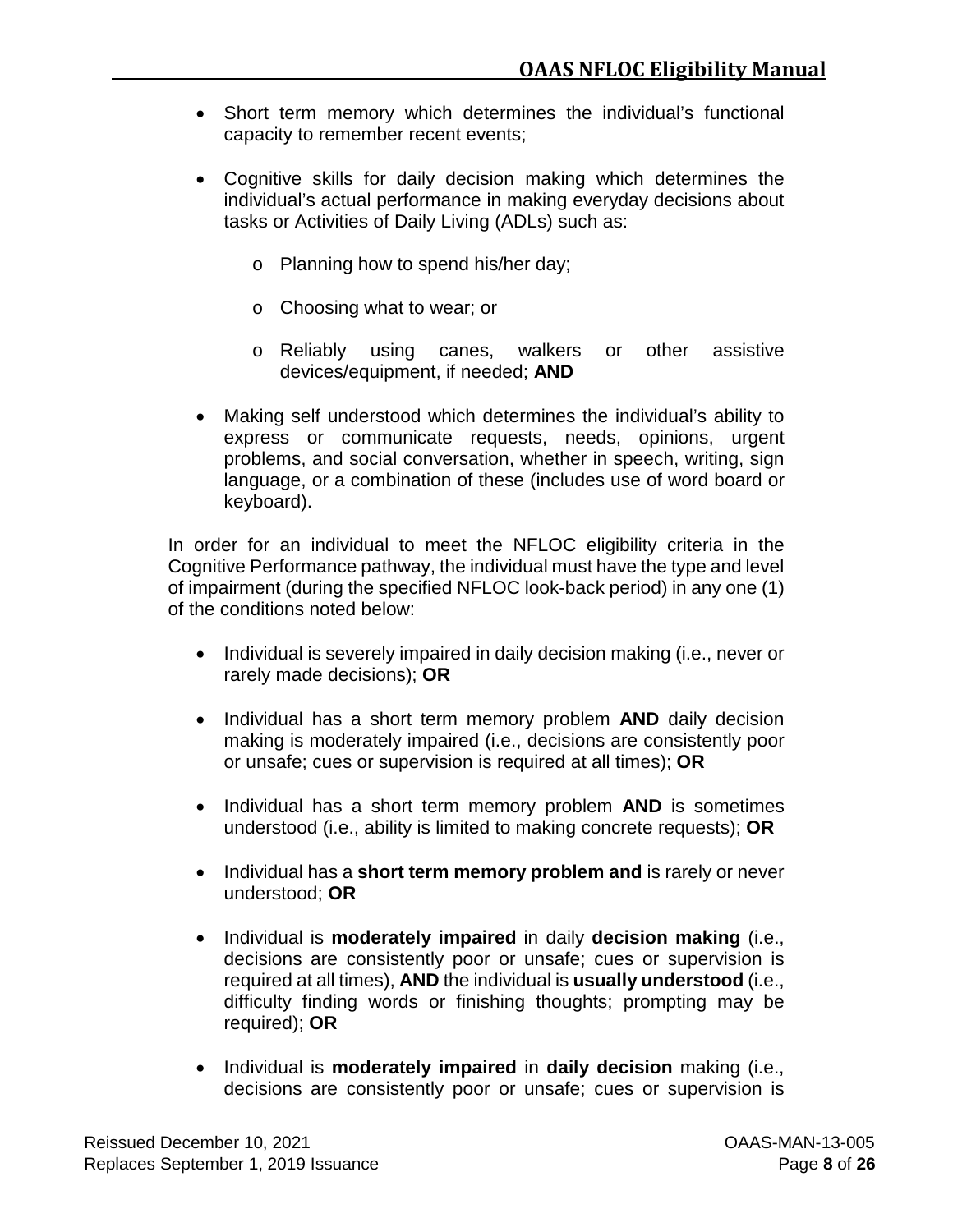- Short term memory which determines the individual's functional capacity to remember recent events;
- Cognitive skills for daily decision making which determines the individual's actual performance in making everyday decisions about tasks or Activities of Daily Living (ADLs) such as:
	- o Planning how to spend his/her day;
	- o Choosing what to wear; or
	- o Reliably using canes, walkers or other assistive devices/equipment, if needed; **AND**
- Making self understood which determines the individual's ability to express or communicate requests, needs, opinions, urgent problems, and social conversation, whether in speech, writing, sign language, or a combination of these (includes use of word board or keyboard).

In order for an individual to meet the NFLOC eligibility criteria in the Cognitive Performance pathway, the individual must have the type and level of impairment (during the specified NFLOC look-back period) in any one (1) of the conditions noted below:

- Individual is severely impaired in daily decision making (i.e., never or rarely made decisions); **OR**
- Individual has a short term memory problem **AND** daily decision making is moderately impaired (i.e., decisions are consistently poor or unsafe; cues or supervision is required at all times); **OR**
- Individual has a short term memory problem **AND** is sometimes understood (i.e., ability is limited to making concrete requests); **OR**
- Individual has a **short term memory problem and** is rarely or never understood; **OR**
- Individual is **moderately impaired** in daily **decision making** (i.e., decisions are consistently poor or unsafe; cues or supervision is required at all times), **AND** the individual is **usually understood** (i.e., difficulty finding words or finishing thoughts; prompting may be required); **OR**
- Individual is **moderately impaired** in **daily decision** making (i.e., decisions are consistently poor or unsafe; cues or supervision is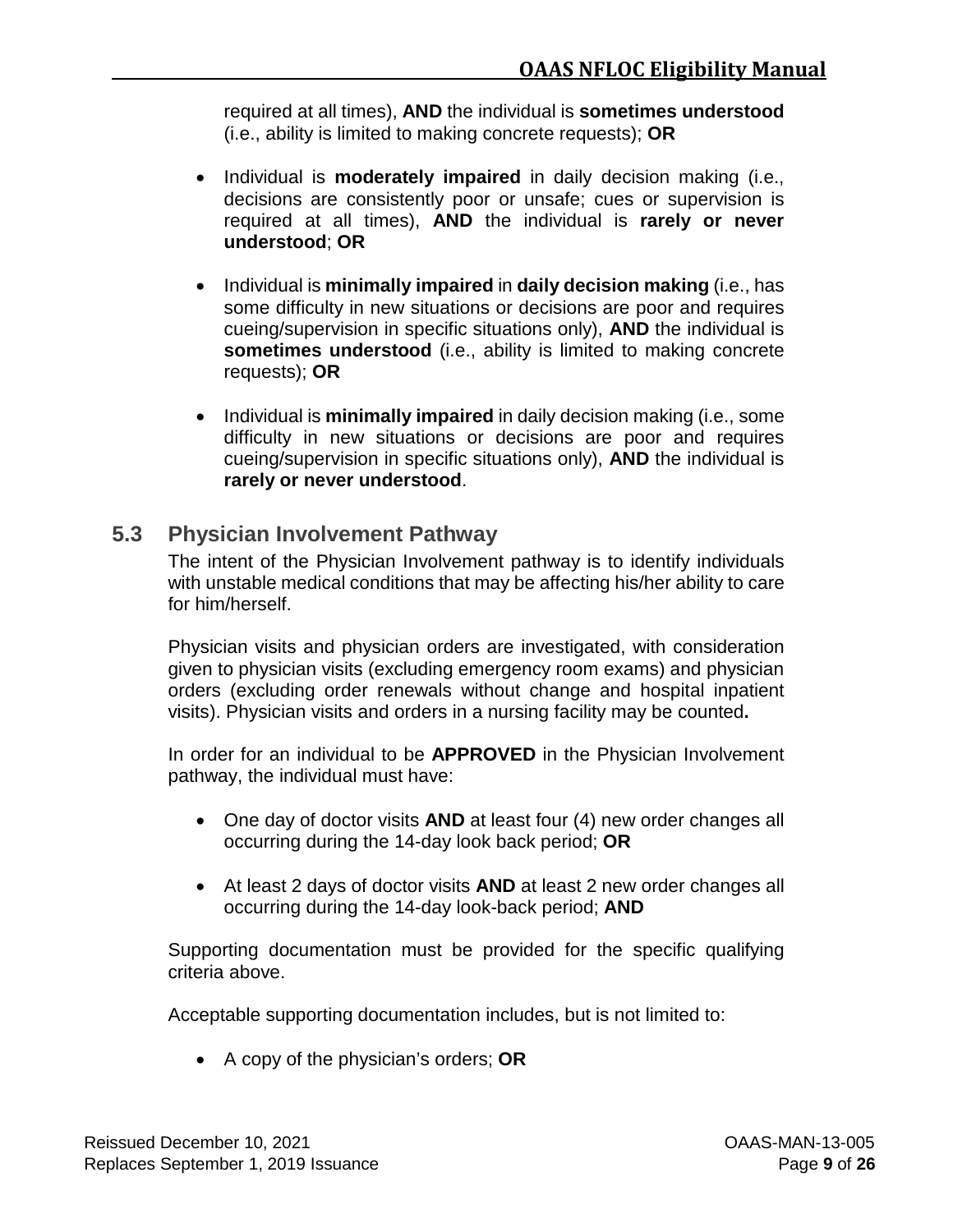required at all times), **AND** the individual is **sometimes understood** (i.e., ability is limited to making concrete requests); **OR**

- Individual is **moderately impaired** in daily decision making (i.e., decisions are consistently poor or unsafe; cues or supervision is required at all times), **AND** the individual is **rarely or never understood**; **OR**
- Individual is **minimally impaired** in **daily decision making** (i.e., has some difficulty in new situations or decisions are poor and requires cueing/supervision in specific situations only), **AND** the individual is sometimes understood (i.e., ability is limited to making concrete requests); **OR**
- Individual is **minimally impaired** in daily decision making (i.e., some difficulty in new situations or decisions are poor and requires cueing/supervision in specific situations only), **AND** the individual is **rarely or never understood**.

## <span id="page-16-0"></span>**5.3 Physician Involvement Pathway**

The intent of the Physician Involvement pathway is to identify individuals with unstable medical conditions that may be affecting his/her ability to care for him/herself.

Physician visits and physician orders are investigated, with consideration given to physician visits (excluding emergency room exams) and physician orders (excluding order renewals without change and hospital inpatient visits). Physician visits and orders in a nursing facility may be counted**.**

In order for an individual to be **APPROVED** in the Physician Involvement pathway, the individual must have:

- One day of doctor visits **AND** at least four (4) new order changes all occurring during the 14-day look back period; **OR**
- At least 2 days of doctor visits **AND** at least 2 new order changes all occurring during the 14-day look-back period; **AND**

Supporting documentation must be provided for the specific qualifying criteria above.

Acceptable supporting documentation includes, but is not limited to:

• A copy of the physician's orders; **OR**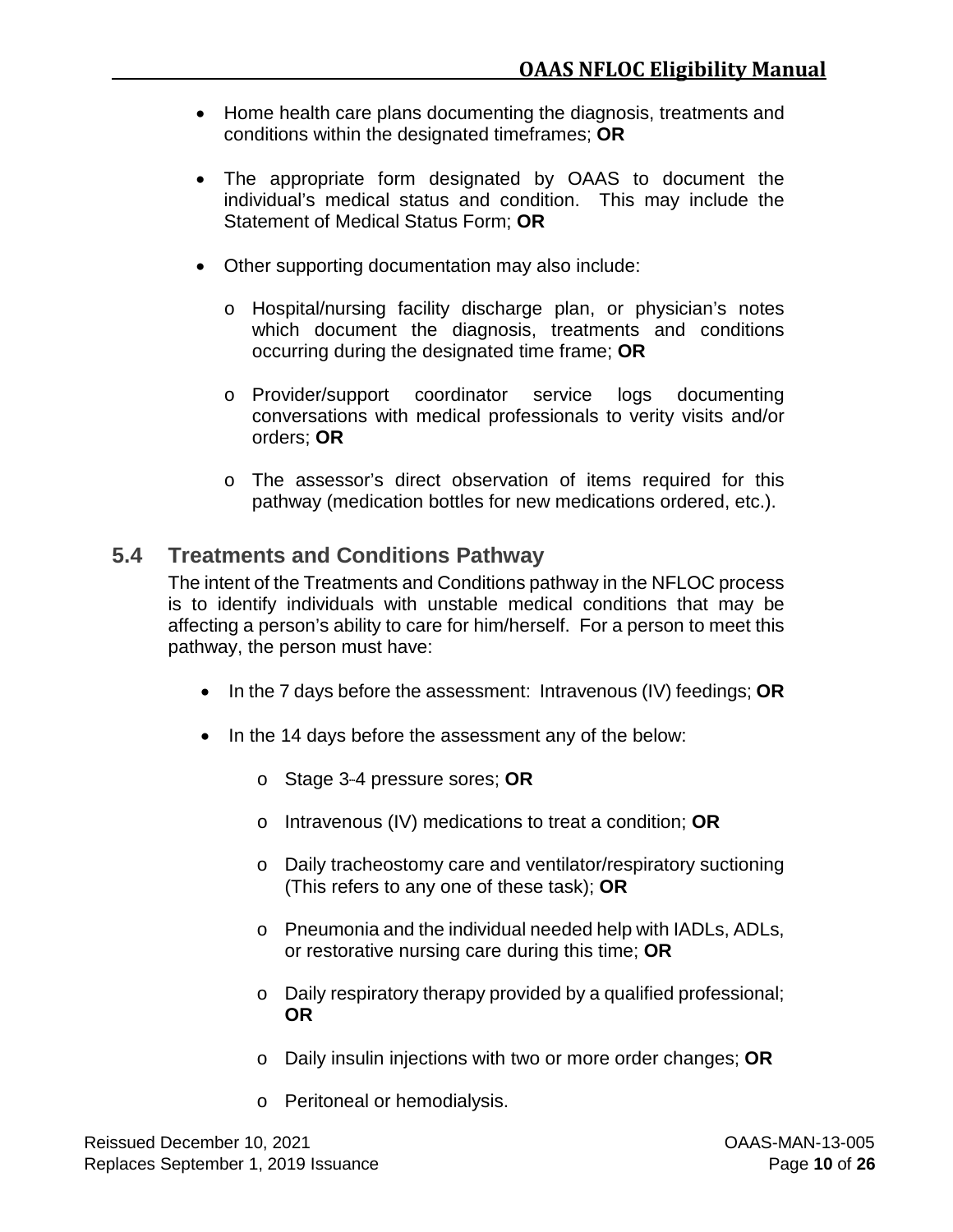- Home health care plans documenting the diagnosis, treatments and conditions within the designated timeframes; **OR**
- The appropriate form designated by OAAS to document the individual's medical status and condition. This may include the Statement of Medical Status Form; **OR**
- Other supporting documentation may also include:
	- o Hospital/nursing facility discharge plan, or physician's notes which document the diagnosis, treatments and conditions occurring during the designated time frame; **OR**
	- o Provider/support coordinator service logs documenting conversations with medical professionals to verity visits and/or orders; **OR**
	- o The assessor's direct observation of items required for this pathway (medication bottles for new medications ordered, etc.).

## <span id="page-17-0"></span>**5.4 Treatments and Conditions Pathway**

The intent of the Treatments and Conditions pathway in the NFLOC process is to identify individuals with unstable medical conditions that may be affecting a person's ability to care for him/herself. For a person to meet this pathway, the person must have:

- In the 7 days before the assessment: Intravenous (IV) feedings; **OR**
- In the 14 days before the assessment any of the below:
	- o Stage 3-4 pressure sores; OR
	- o Intravenous (IV) medications to treat a condition; **OR**
	- o Daily tracheostomy care and ventilator/respiratory suctioning (This refers to any one of these task); **OR**
	- o Pneumonia and the individual needed help with IADLs, ADLs, or restorative nursing care during this time; **OR**
	- o Daily respiratory therapy provided by a qualified professional; **OR**
	- o Daily insulin injections with two or more order changes; **OR**
	- o Peritoneal or hemodialysis.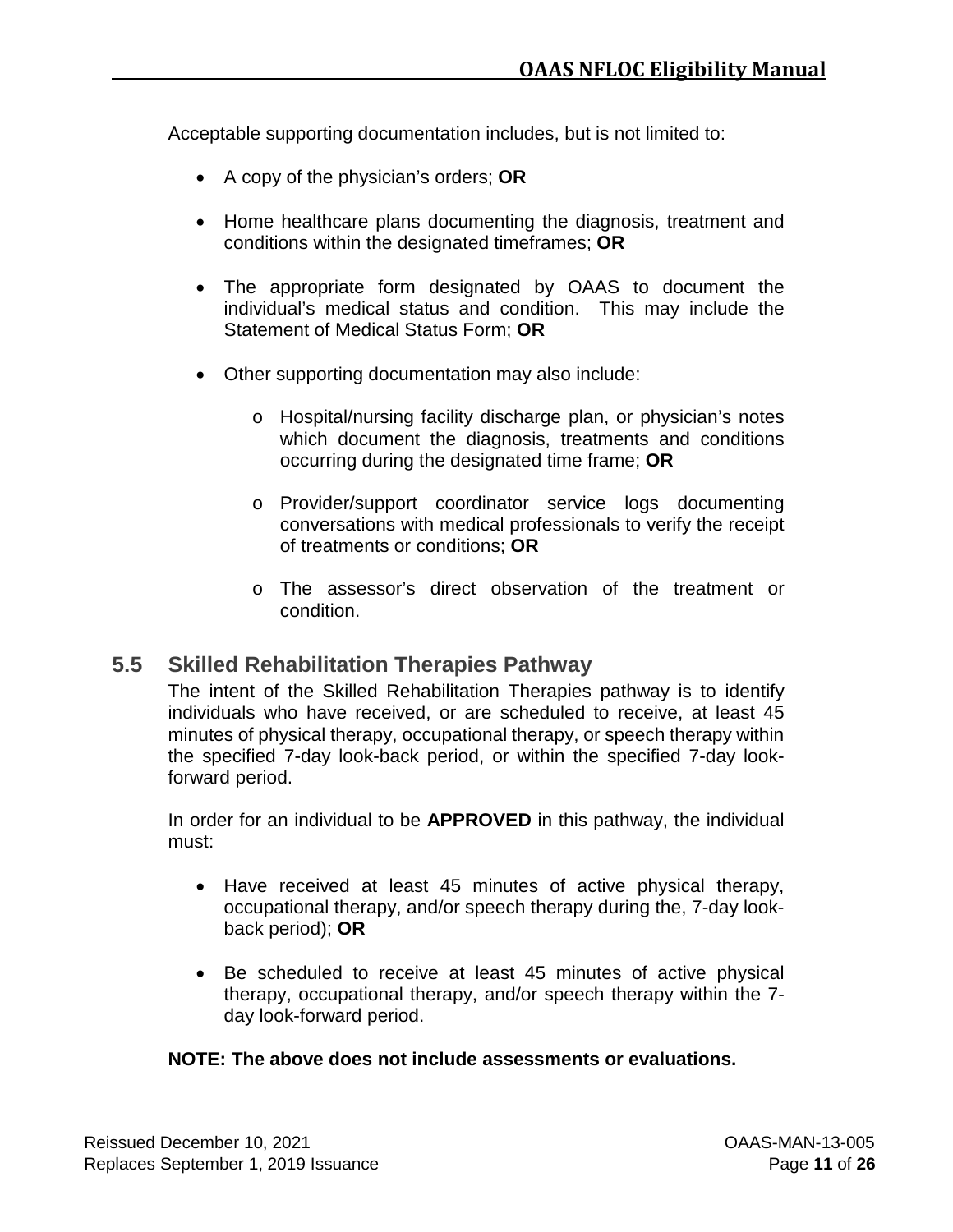Acceptable supporting documentation includes, but is not limited to:

- A copy of the physician's orders; **OR**
- Home healthcare plans documenting the diagnosis, treatment and conditions within the designated timeframes; **OR**
- The appropriate form designated by OAAS to document the individual's medical status and condition. This may include the Statement of Medical Status Form; **OR**
- Other supporting documentation may also include:
	- o Hospital/nursing facility discharge plan, or physician's notes which document the diagnosis, treatments and conditions occurring during the designated time frame; **OR**
	- o Provider/support coordinator service logs documenting conversations with medical professionals to verify the receipt of treatments or conditions; **OR**
	- o The assessor's direct observation of the treatment or condition.

## <span id="page-18-0"></span>**5.5 Skilled Rehabilitation Therapies Pathway**

The intent of the Skilled Rehabilitation Therapies pathway is to identify individuals who have received, or are scheduled to receive, at least 45 minutes of physical therapy, occupational therapy, or speech therapy within the specified 7-day look-back period, or within the specified 7-day lookforward period.

In order for an individual to be **APPROVED** in this pathway, the individual must:

- Have received at least 45 minutes of active physical therapy, occupational therapy, and/or speech therapy during the, 7-day lookback period); **OR**
- Be scheduled to receive at least 45 minutes of active physical therapy, occupational therapy, and/or speech therapy within the 7 day look-forward period.

#### **NOTE: The above does not include assessments or evaluations.**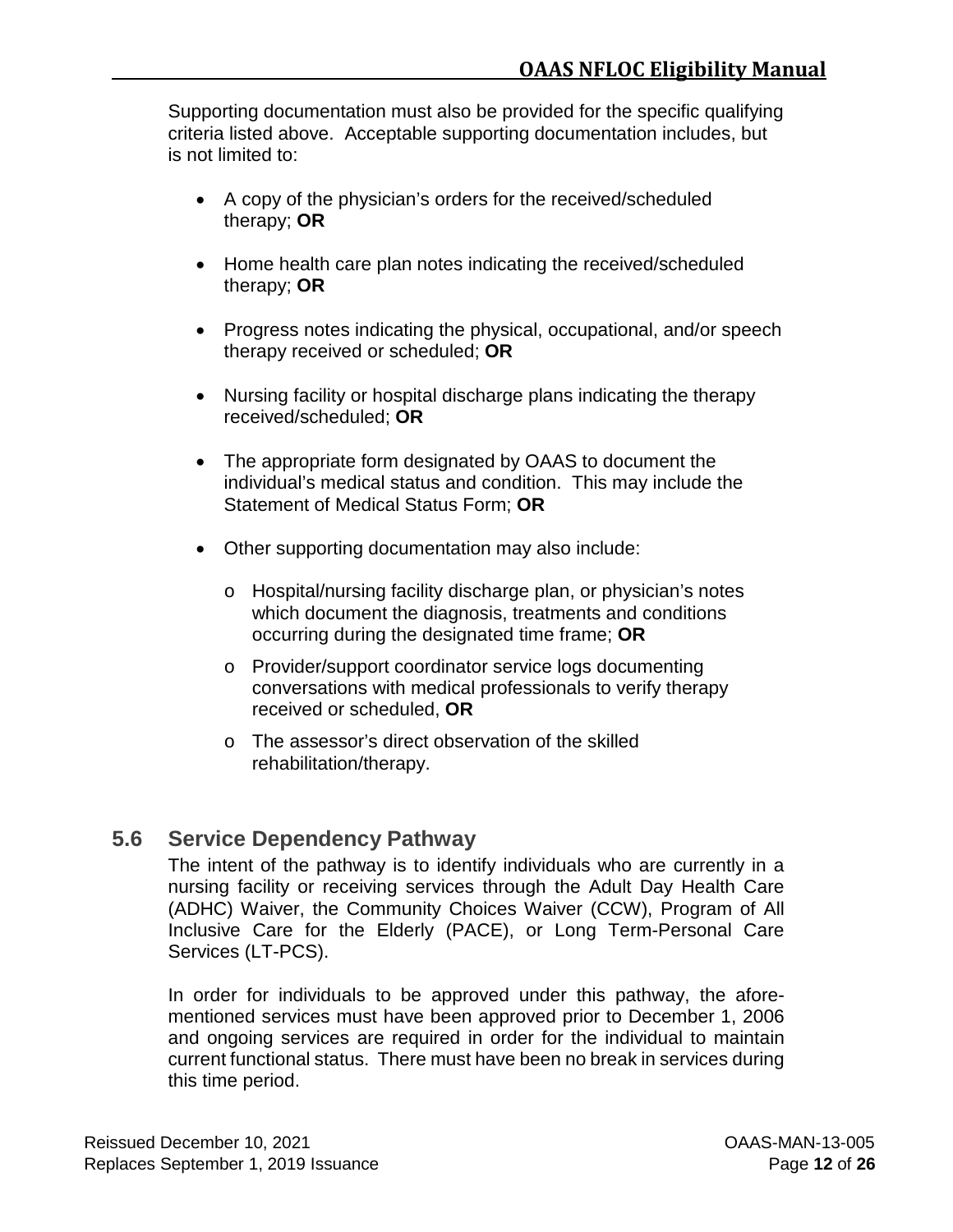Supporting documentation must also be provided for the specific qualifying criteria listed above. Acceptable supporting documentation includes, but is not limited to:

- A copy of the physician's orders for the received/scheduled therapy; **OR**
- Home health care plan notes indicating the received/scheduled therapy; **OR**
- Progress notes indicating the physical, occupational, and/or speech therapy received or scheduled; **OR**
- Nursing facility or hospital discharge plans indicating the therapy received/scheduled; **OR**
- The appropriate form designated by OAAS to document the individual's medical status and condition. This may include the Statement of Medical Status Form; **OR**
- Other supporting documentation may also include:
	- o Hospital/nursing facility discharge plan, or physician's notes which document the diagnosis, treatments and conditions occurring during the designated time frame; **OR**
	- o Provider/support coordinator service logs documenting conversations with medical professionals to verify therapy received or scheduled, **OR**
	- o The assessor's direct observation of the skilled rehabilitation/therapy.

## <span id="page-19-0"></span>**5.6 Service Dependency Pathway**

The intent of the pathway is to identify individuals who are currently in a nursing facility or receiving services through the Adult Day Health Care (ADHC) Waiver, the Community Choices Waiver (CCW), Program of All Inclusive Care for the Elderly (PACE), or Long Term-Personal Care Services (LT-PCS).

In order for individuals to be approved under this pathway, the aforementioned services must have been approved prior to December 1, 2006 and ongoing services are required in order for the individual to maintain current functional status. There must have been no break in services during this time period.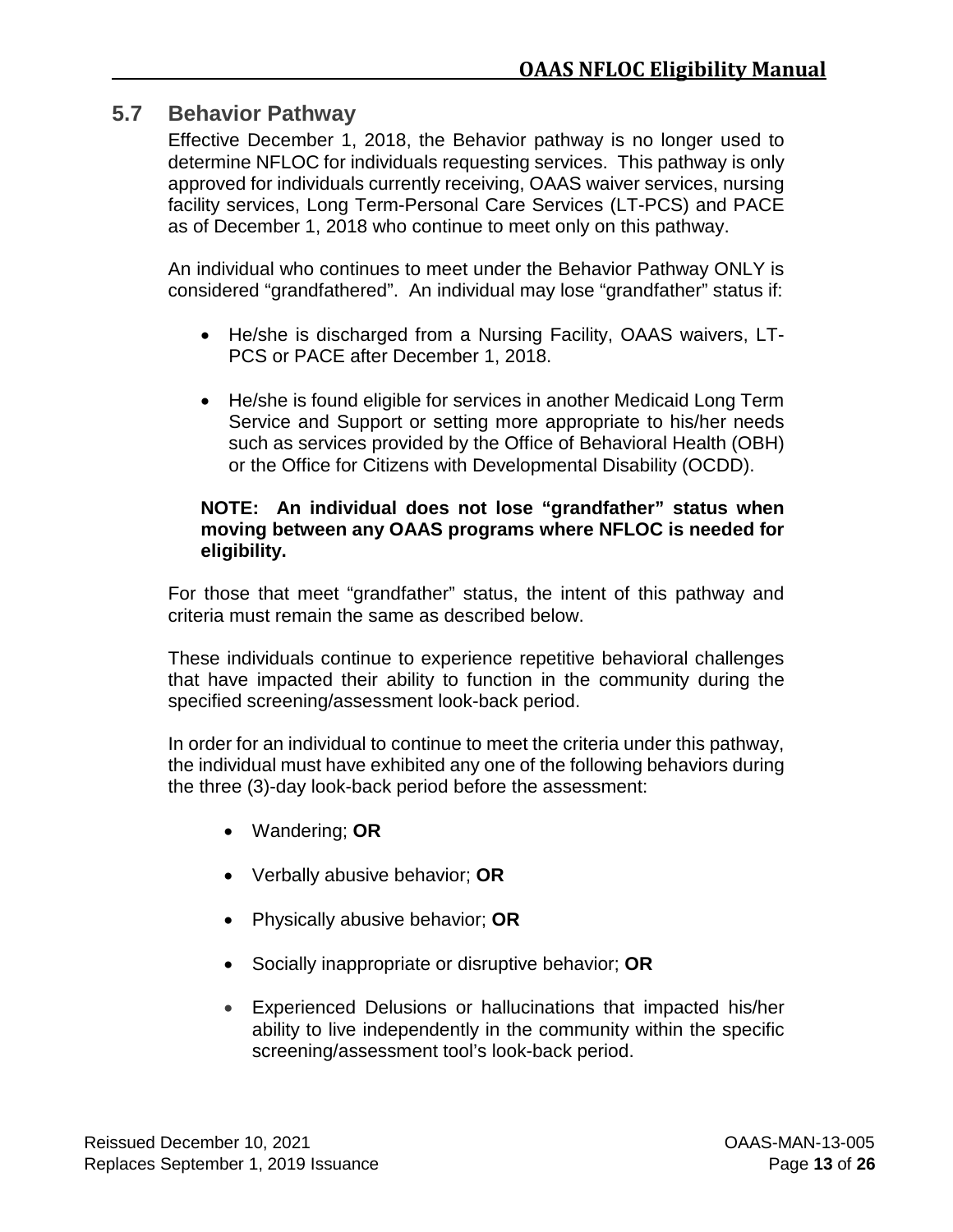### <span id="page-20-0"></span>**5.7 Behavior Pathway**

Effective December 1, 2018, the Behavior pathway is no longer used to determine NFLOC for individuals requesting services. This pathway is only approved for individuals currently receiving, OAAS waiver services, nursing facility services, Long Term-Personal Care Services (LT-PCS) and PACE as of December 1, 2018 who continue to meet only on this pathway.

An individual who continues to meet under the Behavior Pathway ONLY is considered "grandfathered". An individual may lose "grandfather" status if:

- He/she is discharged from a Nursing Facility, OAAS waivers, LT-PCS or PACE after December 1, 2018.
- He/she is found eligible for services in another Medicaid Long Term Service and Support or setting more appropriate to his/her needs such as services provided by the Office of Behavioral Health (OBH) or the Office for Citizens with Developmental Disability (OCDD).

#### **NOTE: An individual does not lose "grandfather" status when moving between any OAAS programs where NFLOC is needed for eligibility.**

For those that meet "grandfather" status, the intent of this pathway and criteria must remain the same as described below.

These individuals continue to experience repetitive behavioral challenges that have impacted their ability to function in the community during the specified screening/assessment look-back period.

In order for an individual to continue to meet the criteria under this pathway, the individual must have exhibited any one of the following behaviors during the three (3)-day look-back period before the assessment:

- Wandering; **OR**
- Verbally abusive behavior; **OR**
- Physically abusive behavior; **OR**
- Socially inappropriate or disruptive behavior; **OR**
- Experienced Delusions or hallucinations that impacted his/her ability to live independently in the community within the specific screening/assessment tool's look-back period.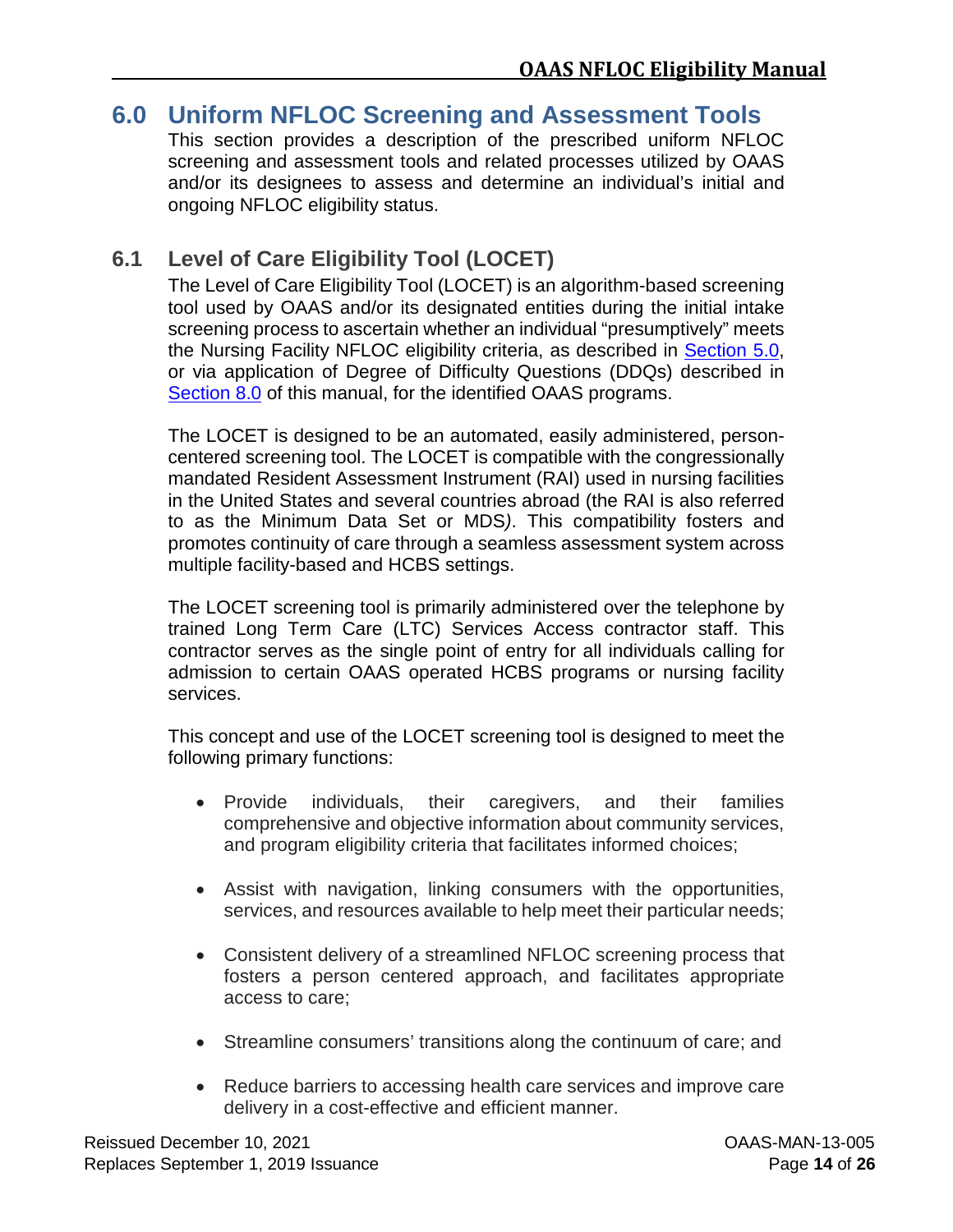## <span id="page-21-0"></span>**6.0 Uniform NFLOC Screening and Assessment Tools**

This section provides a description of the prescribed uniform NFLOC screening and assessment tools and related processes utilized by OAAS and/or its designees to assess and determine an individual's initial and ongoing NFLOC eligibility status.

## <span id="page-21-1"></span>**6.1 Level of Care Eligibility Tool (LOCET)**

The Level of Care Eligibility Tool (LOCET) is an algorithm-based screening tool used by OAAS and/or its designated entities during the initial intake screening process to ascertain whether an individual "presumptively" meets the Nursing Facility NFLOC eligibility criteria, as described in [Section](#page-12-0) 5.0, or via application of Degree of Difficulty Questions (DDQs) described in [Section 8.0](#page-28-0) of this manual, for the identified OAAS programs.

The LOCET is designed to be an automated, easily administered, personcentered screening tool. The LOCET is compatible with the congressionally mandated Resident Assessment Instrument (RAI) used in nursing facilities in the United States and several countries abroad (the RAI is also referred to as the Minimum Data Set or MDS*)*. This compatibility fosters and promotes continuity of care through a seamless assessment system across multiple facility-based and HCBS settings.

The LOCET screening tool is primarily administered over the telephone by trained Long Term Care (LTC) Services Access contractor staff. This contractor serves as the single point of entry for all individuals calling for admission to certain OAAS operated HCBS programs or nursing facility services.

This concept and use of the LOCET screening tool is designed to meet the following primary functions:

- Provide individuals, their caregivers, and their families comprehensive and objective information about community services, and program eligibility criteria that facilitates informed choices;
- Assist with navigation, linking consumers with the opportunities, services, and resources available to help meet their particular needs;
- Consistent delivery of a streamlined NFLOC screening process that fosters a person centered approach, and facilitates appropriate access to care;
- Streamline consumers' transitions along the continuum of care; and
- Reduce barriers to accessing health care services and improve care delivery in a cost-effective and efficient manner.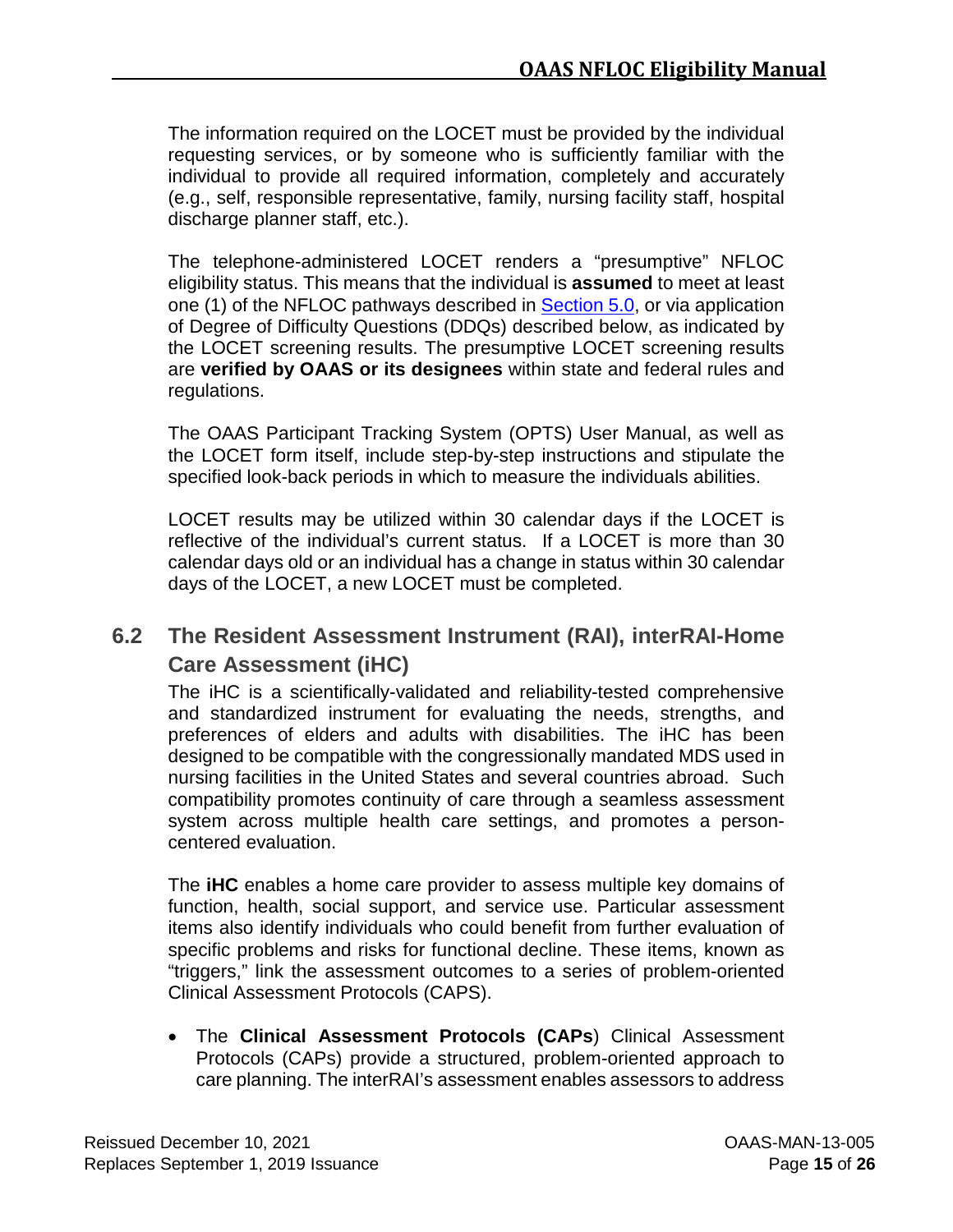The information required on the LOCET must be provided by the individual requesting services, or by someone who is sufficiently familiar with the individual to provide all required information, completely and accurately (e.g., self, responsible representative, family, nursing facility staff, hospital discharge planner staff, etc.).

The telephone-administered LOCET renders a "presumptive" NFLOC eligibility status. This means that the individual is **assumed** to meet at least one (1) of the NFLOC pathways described in [Section](#page-12-0) 5.0, or via application of Degree of Difficulty Questions (DDQs) described below, as indicated by the LOCET screening results. The presumptive LOCET screening results are **verified by OAAS or its designees** within state and federal rules and regulations.

The OAAS Participant Tracking System (OPTS) User Manual, as well as the LOCET form itself, include step-by-step instructions and stipulate the specified look-back periods in which to measure the individuals abilities.

LOCET results may be utilized within 30 calendar days if the LOCET is reflective of the individual's current status. If a LOCET is more than 30 calendar days old or an individual has a change in status within 30 calendar days of the LOCET, a new LOCET must be completed.

## <span id="page-22-0"></span>**6.2 The Resident Assessment Instrument (RAI), interRAI-Home Care Assessment (iHC)**

The iHC is a scientifically-validated and reliability-tested comprehensive and standardized instrument for evaluating the needs, strengths, and preferences of elders and adults with disabilities. The iHC has been designed to be compatible with the congressionally mandated MDS used in nursing facilities in the United States and several countries abroad. Such compatibility promotes continuity of care through a seamless assessment system across multiple health care settings, and promotes a personcentered evaluation.

The **iHC** enables a home care provider to assess multiple key domains of function, health, social support, and service use. Particular assessment items also identify individuals who could benefit from further evaluation of specific problems and risks for functional decline. These items, known as "triggers," link the assessment outcomes to a series of problem-oriented Clinical Assessment Protocols (CAPS).

• The **Clinical Assessment Protocols (CAPs**) Clinical Assessment Protocols (CAPs) provide a structured, problem-oriented approach to care planning. The interRAI's assessment enables assessors to address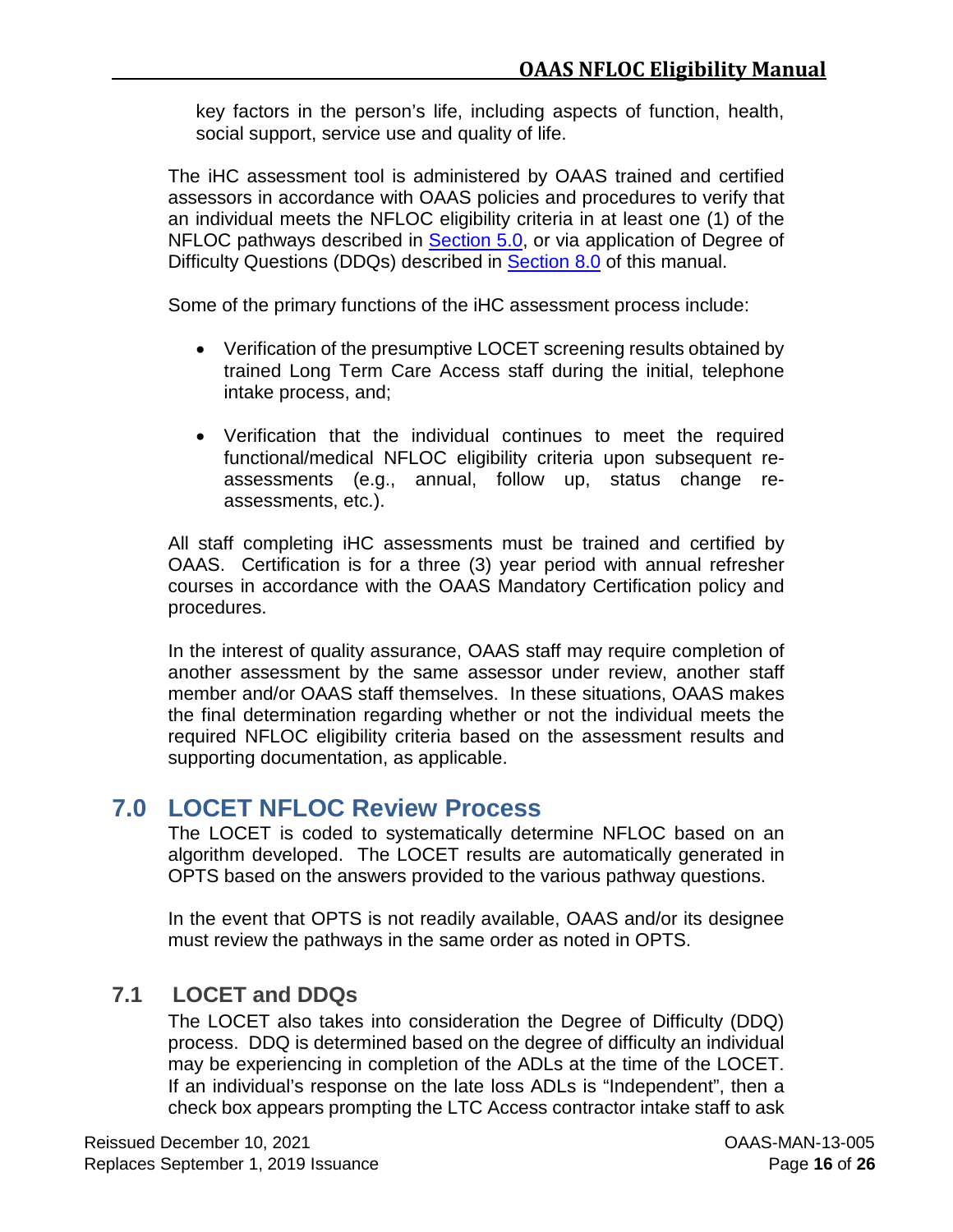key factors in the person's life, including aspects of function, health, social support, service use and quality of life.

The iHC assessment tool is administered by OAAS trained and certified assessors in accordance with OAAS policies and procedures to verify that an individual meets the NFLOC eligibility criteria in at least one (1) of the NFLOC pathways described in **Section 5.0**, or via application of Degree of Difficulty Questions (DDQs) described in **Section 8.0** of this manual.

Some of the primary functions of the iHC assessment process include:

- Verification of the presumptive LOCET screening results obtained by trained Long Term Care Access staff during the initial, telephone intake process, and;
- Verification that the individual continues to meet the required functional/medical NFLOC eligibility criteria upon subsequent reassessments (e.g., annual, follow up, status change reassessments, etc.).

All staff completing iHC assessments must be trained and certified by OAAS. Certification is for a three (3) year period with annual refresher courses in accordance with the OAAS Mandatory Certification policy and procedures.

In the interest of quality assurance, OAAS staff may require completion of another assessment by the same assessor under review, another staff member and/or OAAS staff themselves. In these situations, OAAS makes the final determination regarding whether or not the individual meets the required NFLOC eligibility criteria based on the assessment results and supporting documentation, as applicable.

# <span id="page-23-0"></span>**7.0 LOCET NFLOC Review Process**

The LOCET is coded to systematically determine NFLOC based on an algorithm developed. The LOCET results are automatically generated in OPTS based on the answers provided to the various pathway questions.

In the event that OPTS is not readily available, OAAS and/or its designee must review the pathways in the same order as noted in OPTS.

# <span id="page-23-1"></span>**7.1 LOCET and DDQs**

The LOCET also takes into consideration the Degree of Difficulty (DDQ) process. DDQ is determined based on the degree of difficulty an individual may be experiencing in completion of the ADLs at the time of the LOCET. If an individual's response on the late loss ADLs is "Independent", then a check box appears prompting the LTC Access contractor intake staff to ask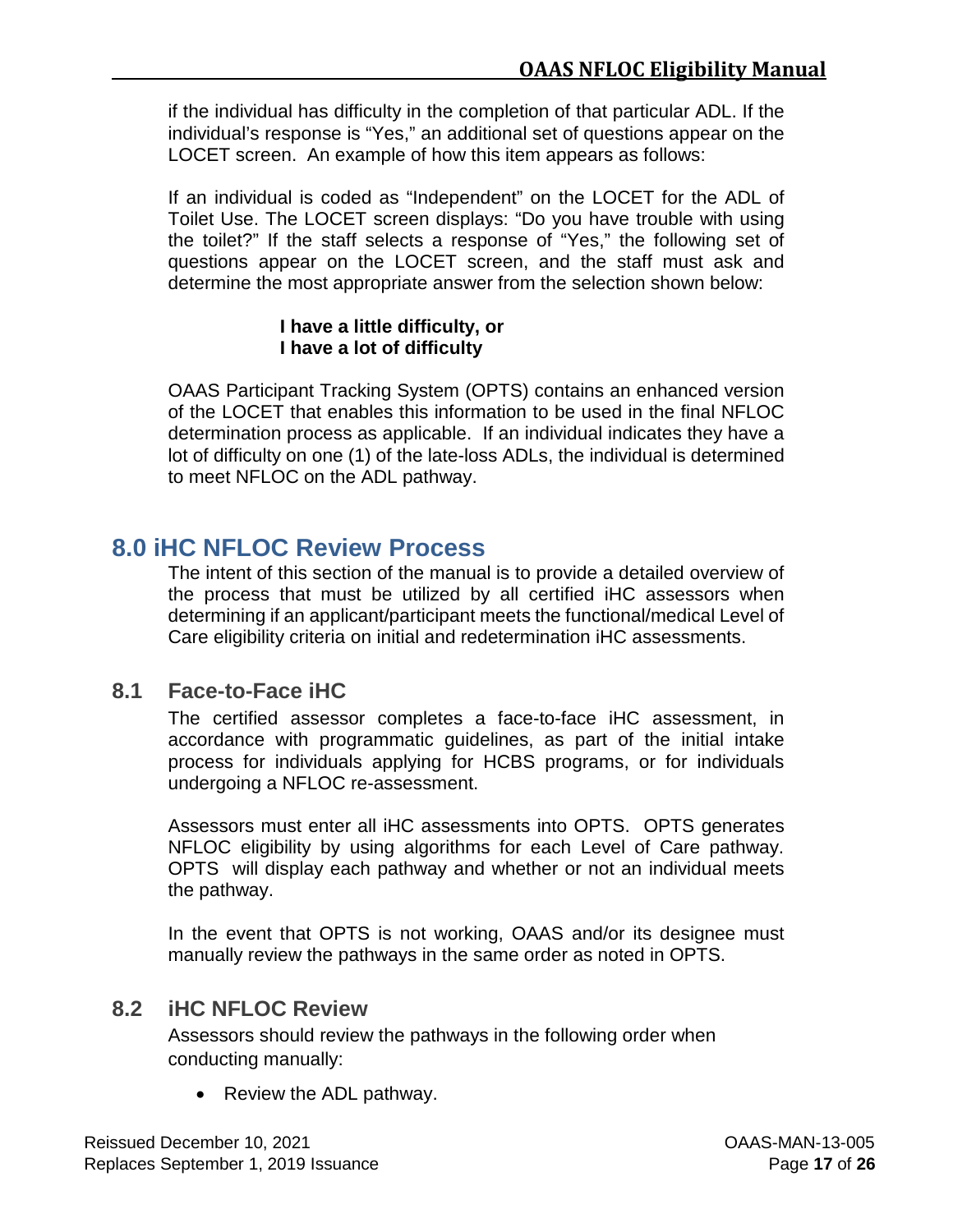if the individual has difficulty in the completion of that particular ADL. If the individual's response is "Yes," an additional set of questions appear on the LOCET screen. An example of how this item appears as follows:

If an individual is coded as "Independent" on the LOCET for the ADL of Toilet Use. The LOCET screen displays: "Do you have trouble with using the toilet?" If the staff selects a response of "Yes," the following set of questions appear on the LOCET screen, and the staff must ask and determine the most appropriate answer from the selection shown below:

#### **I have a little difficulty, or I have a lot of difficulty**

OAAS Participant Tracking System (OPTS) contains an enhanced version of the LOCET that enables this information to be used in the final NFLOC determination process as applicable. If an individual indicates they have a lot of difficulty on one (1) of the late-loss ADLs, the individual is determined to meet NFLOC on the ADL pathway.

## <span id="page-24-0"></span>**8.0 iHC NFLOC Review Process**

The intent of this section of the manual is to provide a detailed overview of the process that must be utilized by all certified iHC assessors when determining if an applicant/participant meets the functional/medical Level of Care eligibility criteria on initial and redetermination iHC assessments.

## <span id="page-24-1"></span>**8.1 Face-to-Face iHC**

The certified assessor completes a face-to-face iHC assessment, in accordance with programmatic guidelines, as part of the initial intake process for individuals applying for HCBS programs, or for individuals undergoing a NFLOC re-assessment.

Assessors must enter all iHC assessments into OPTS. OPTS generates NFLOC eligibility by using algorithms for each Level of Care pathway. OPTS will display each pathway and whether or not an individual meets the pathway.

In the event that OPTS is not working, OAAS and/or its designee must manually review the pathways in the same order as noted in OPTS.

## <span id="page-24-2"></span>**8.2 iHC NFLOC Review**

Assessors should review the pathways in the following order when conducting manually:

• Review the ADL pathway.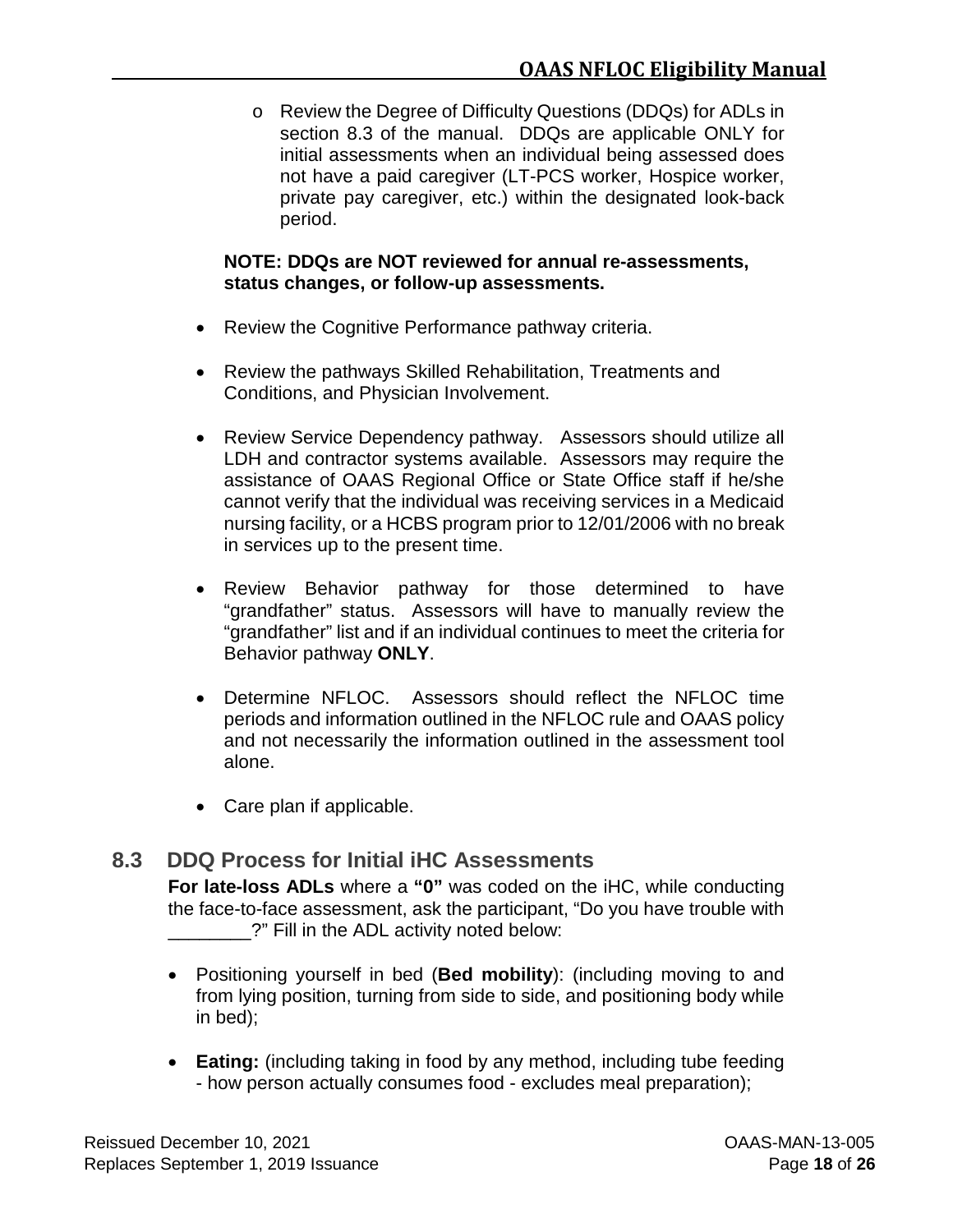o Review the Degree of Difficulty Questions (DDQs) for ADLs in section 8.3 of the manual. DDQs are applicable ONLY for initial assessments when an individual being assessed does not have a paid caregiver (LT-PCS worker, Hospice worker, private pay caregiver, etc.) within the designated look-back period.

#### **NOTE: DDQs are NOT reviewed for annual re-assessments, status changes, or follow-up assessments.**

- Review the Cognitive Performance pathway criteria.
- Review the pathways Skilled Rehabilitation, Treatments and Conditions, and Physician Involvement.
- Review Service Dependency pathway. Assessors should utilize all LDH and contractor systems available. Assessors may require the assistance of OAAS Regional Office or State Office staff if he/she cannot verify that the individual was receiving services in a Medicaid nursing facility, or a HCBS program prior to 12/01/2006 with no break in services up to the present time.
- Review Behavior pathway for those determined to have "grandfather" status. Assessors will have to manually review the "grandfather" list and if an individual continues to meet the criteria for Behavior pathway **ONLY**.
- Determine NFLOC. Assessors should reflect the NFLOC time periods and information outlined in the NFLOC rule and OAAS policy and not necessarily the information outlined in the assessment tool alone.
- Care plan if applicable.

## <span id="page-25-0"></span>**8.3 DDQ Process for Initial iHC Assessments**

**For late-loss ADLs** where a **"0"** was coded on the iHC, while conducting the face-to-face assessment, ask the participant, "Do you have trouble with \_\_\_\_\_\_\_\_?" Fill in the ADL activity noted below:

- Positioning yourself in bed (**Bed mobility**): (including moving to and from lying position, turning from side to side, and positioning body while in bed);
- **Eating:** (including taking in food by any method, including tube feeding - how person actually consumes food - excludes meal preparation);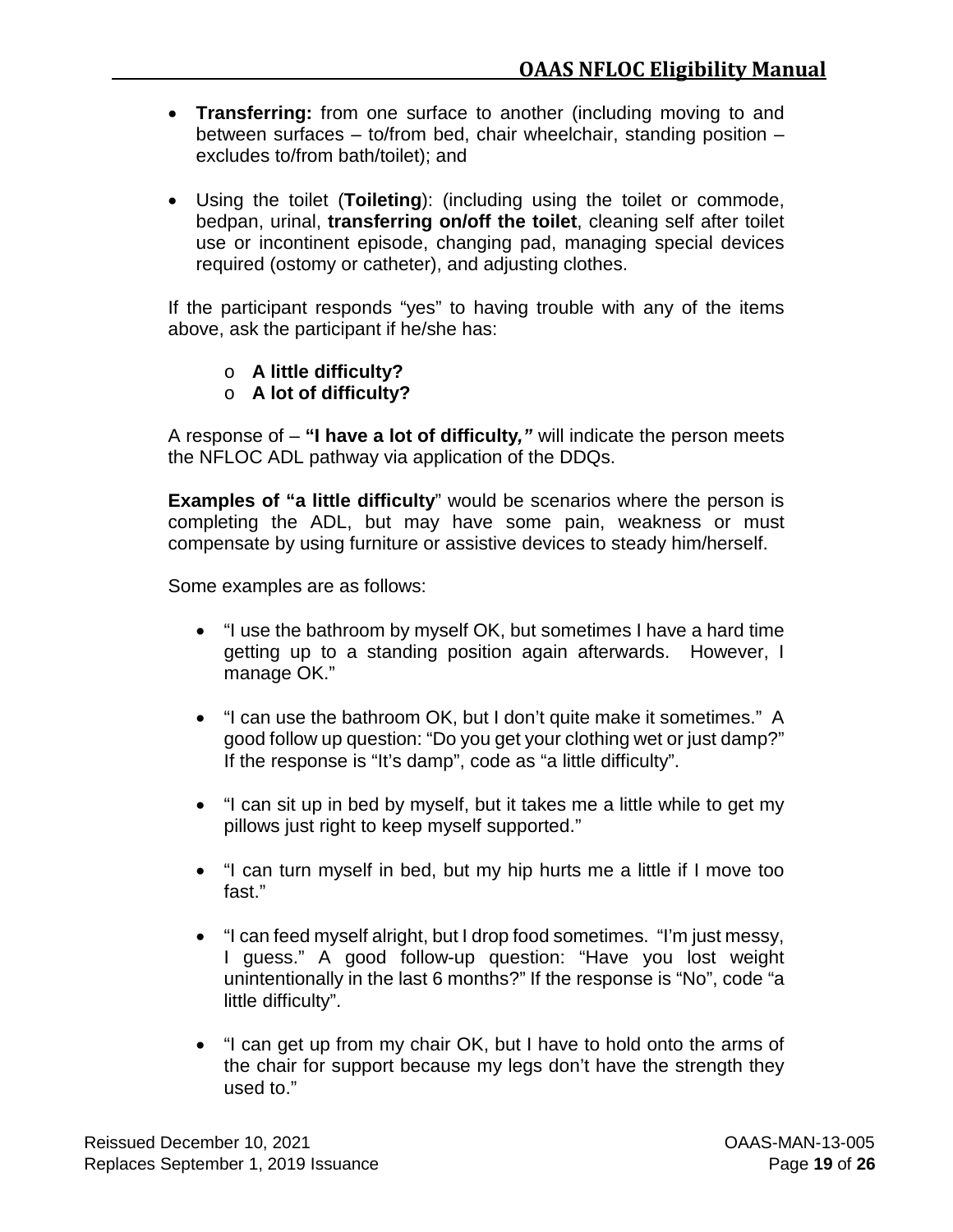- **Transferring:** from one surface to another (including moving to and between surfaces – to/from bed, chair wheelchair, standing position – excludes to/from bath/toilet); and
- Using the toilet (**Toileting**): (including using the toilet or commode, bedpan, urinal, **transferring on/off the toilet**, cleaning self after toilet use or incontinent episode, changing pad, managing special devices required (ostomy or catheter), and adjusting clothes.

If the participant responds "yes" to having trouble with any of the items above, ask the participant if he/she has:

- o **A little difficulty?**
- o **A lot of difficulty?**

A response of – **"I have a lot of difficulty***,"* will indicate the person meets the NFLOC ADL pathway via application of the DDQs.

**Examples of "a little difficulty**" would be scenarios where the person is completing the ADL, but may have some pain, weakness or must compensate by using furniture or assistive devices to steady him/herself.

Some examples are as follows:

- "I use the bathroom by myself OK, but sometimes I have a hard time getting up to a standing position again afterwards. However, I manage OK."
- "I can use the bathroom OK, but I don't quite make it sometimes." A good follow up question: "Do you get your clothing wet or just damp?" If the response is "It's damp", code as "a little difficulty".
- "I can sit up in bed by myself, but it takes me a little while to get my pillows just right to keep myself supported."
- "I can turn myself in bed, but my hip hurts me a little if I move too fast."
- "I can feed myself alright, but I drop food sometimes. "I'm just messy, I guess." A good follow-up question: "Have you lost weight unintentionally in the last 6 months?" If the response is "No", code "a little difficulty".
- "I can get up from my chair OK, but I have to hold onto the arms of the chair for support because my legs don't have the strength they used to."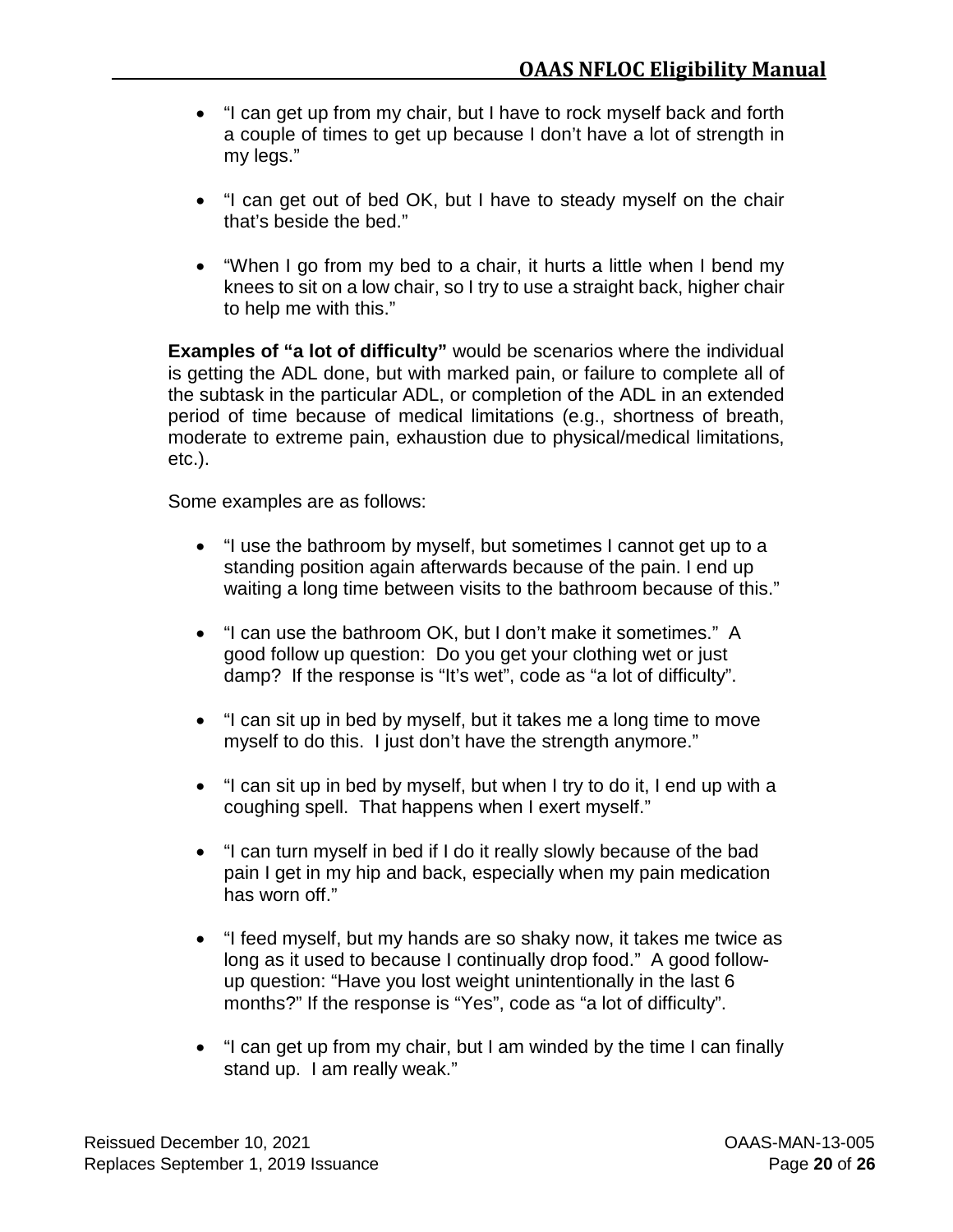- "I can get up from my chair, but I have to rock myself back and forth a couple of times to get up because I don't have a lot of strength in my legs."
- "I can get out of bed OK, but I have to steady myself on the chair that's beside the bed."
- "When I go from my bed to a chair, it hurts a little when I bend my knees to sit on a low chair, so I try to use a straight back, higher chair to help me with this."

**Examples of "a lot of difficulty"** would be scenarios where the individual is getting the ADL done, but with marked pain, or failure to complete all of the subtask in the particular ADL, or completion of the ADL in an extended period of time because of medical limitations (e.g., shortness of breath, moderate to extreme pain, exhaustion due to physical/medical limitations, etc.).

Some examples are as follows:

- "I use the bathroom by myself, but sometimes I cannot get up to a standing position again afterwards because of the pain. I end up waiting a long time between visits to the bathroom because of this."
- "I can use the bathroom OK, but I don't make it sometimes." A good follow up question: Do you get your clothing wet or just damp? If the response is "It's wet", code as "a lot of difficulty".
- "I can sit up in bed by myself, but it takes me a long time to move myself to do this. I just don't have the strength anymore."
- "I can sit up in bed by myself, but when I try to do it, I end up with a coughing spell. That happens when I exert myself."
- "I can turn myself in bed if I do it really slowly because of the bad pain I get in my hip and back, especially when my pain medication has worn off."
- "I feed myself, but my hands are so shaky now, it takes me twice as long as it used to because I continually drop food." A good followup question: "Have you lost weight unintentionally in the last 6 months?" If the response is "Yes", code as "a lot of difficulty".
- "I can get up from my chair, but I am winded by the time I can finally stand up. I am really weak."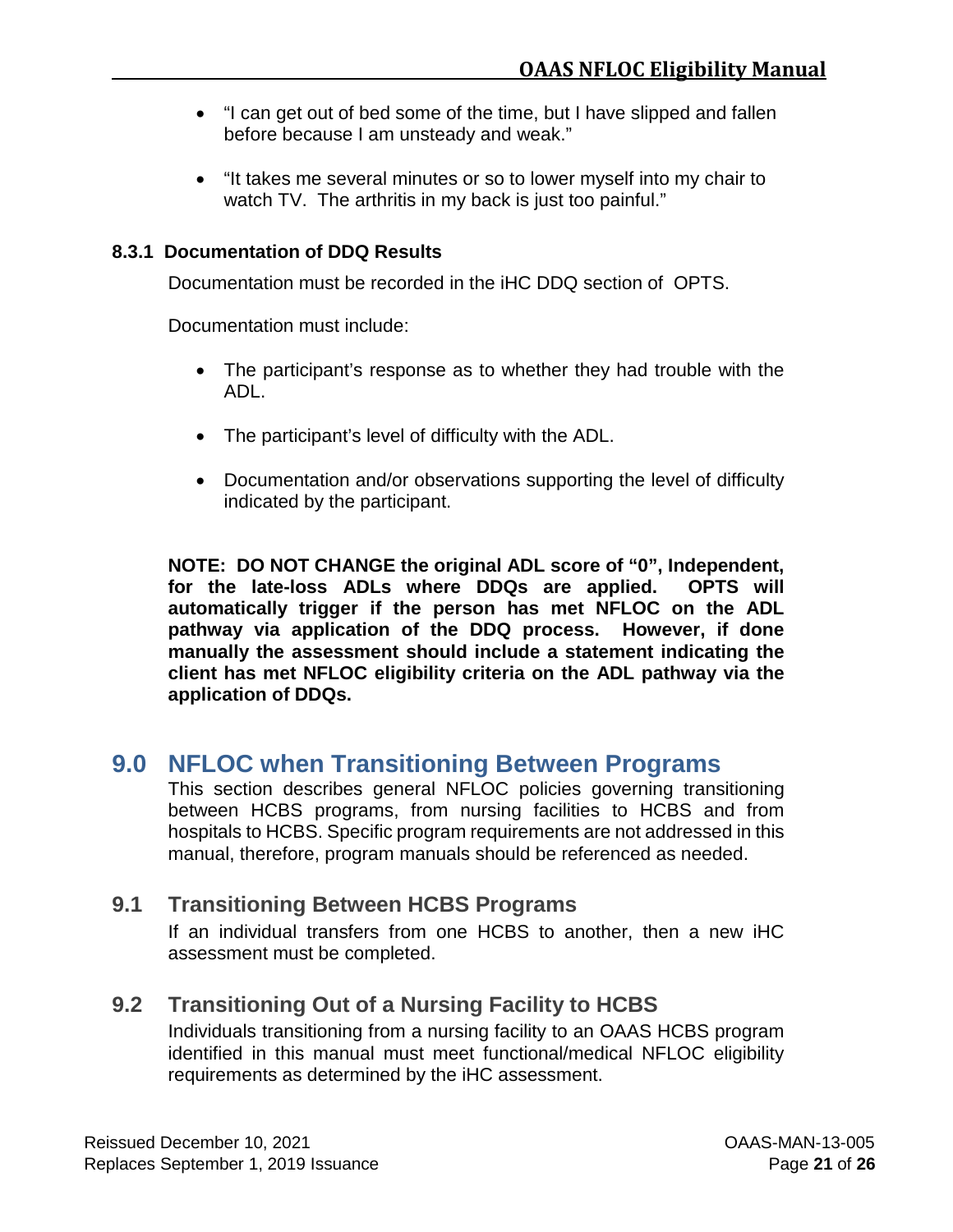- <span id="page-28-0"></span>• "I can get out of bed some of the time, but I have slipped and fallen before because I am unsteady and weak."
- "It takes me several minutes or so to lower myself into my chair to watch TV. The arthritis in my back is just too painful."

#### **8.3.1 Documentation of DDQ Results**

Documentation must be recorded in the iHC DDQ section of OPTS.

Documentation must include:

- The participant's response as to whether they had trouble with the ADL.
- The participant's level of difficulty with the ADL.
- Documentation and/or observations supporting the level of difficulty indicated by the participant.

**NOTE: DO NOT CHANGE the original ADL score of "0", Independent, for the late-loss ADLs where DDQs are applied. OPTS will automatically trigger if the person has met NFLOC on the ADL pathway via application of the DDQ process. However, if done manually the assessment should include a statement indicating the client has met NFLOC eligibility criteria on the ADL pathway via the application of DDQs.** 

# **9.0 NFLOC when Transitioning Between Programs**

This section describes general NFLOC policies governing transitioning between HCBS programs, from nursing facilities to HCBS and from hospitals to HCBS. Specific program requirements are not addressed in this manual, therefore, program manuals should be referenced as needed.

## <span id="page-28-1"></span>**9.1 Transitioning Between HCBS Programs**

If an individual transfers from one HCBS to another, then a new iHC assessment must be completed.

## <span id="page-28-2"></span>**9.2 Transitioning Out of a Nursing Facility to HCBS**

Individuals transitioning from a nursing facility to an OAAS HCBS program identified in this manual must meet functional/medical NFLOC eligibility requirements as determined by the iHC assessment.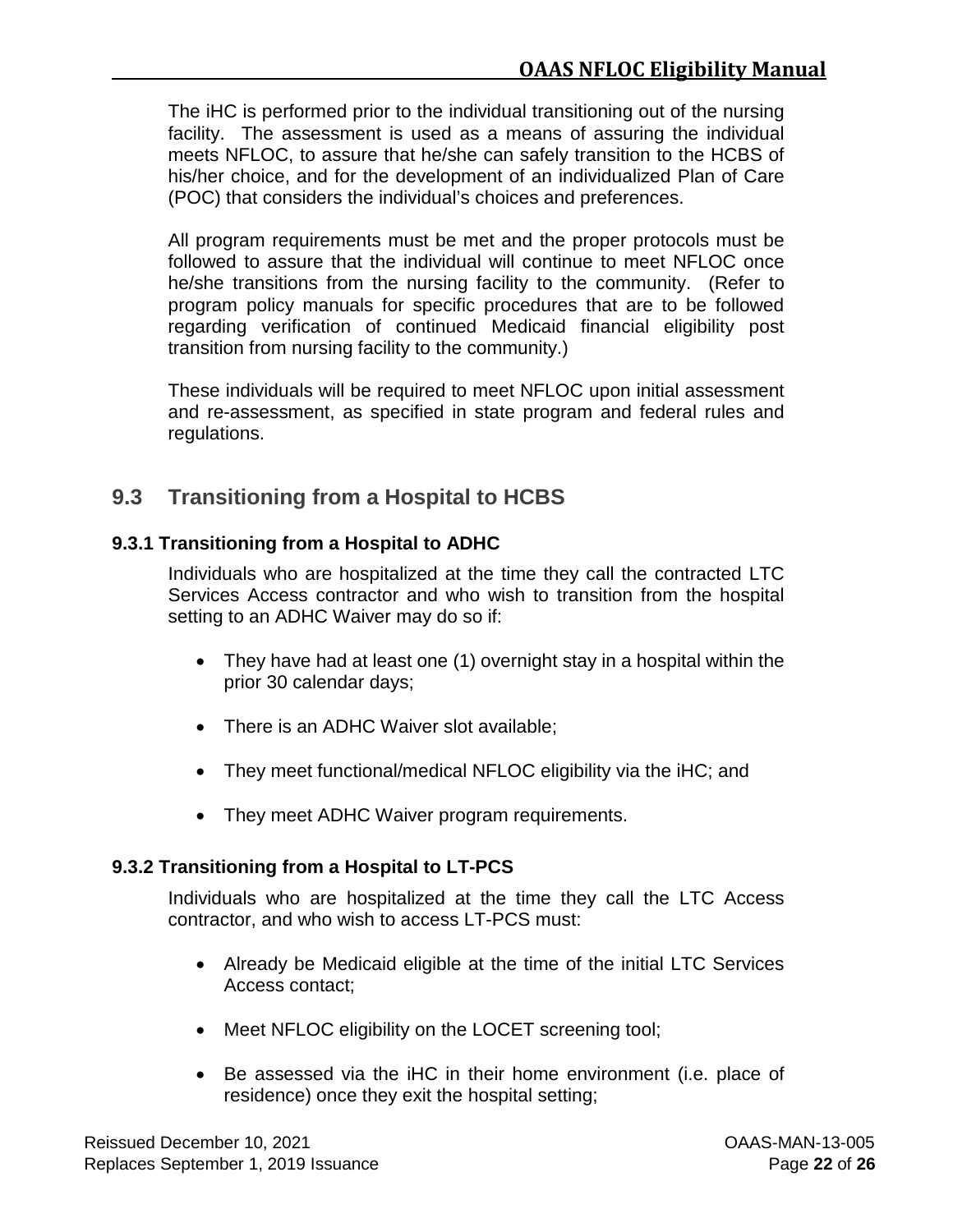The iHC is performed prior to the individual transitioning out of the nursing facility. The assessment is used as a means of assuring the individual meets NFLOC, to assure that he/she can safely transition to the HCBS of his/her choice, and for the development of an individualized Plan of Care (POC) that considers the individual's choices and preferences.

All program requirements must be met and the proper protocols must be followed to assure that the individual will continue to meet NFLOC once he/she transitions from the nursing facility to the community. (Refer to program policy manuals for specific procedures that are to be followed regarding verification of continued Medicaid financial eligibility post transition from nursing facility to the community.)

These individuals will be required to meet NFLOC upon initial assessment and re-assessment, as specified in state program and federal rules and regulations.

## <span id="page-29-0"></span>**9.3 Transitioning from a Hospital to HCBS**

#### <span id="page-29-1"></span>**9.3.1 Transitioning from a Hospital to ADHC**

Individuals who are hospitalized at the time they call the contracted LTC Services Access contractor and who wish to transition from the hospital setting to an ADHC Waiver may do so if:

- They have had at least one (1) overnight stay in a hospital within the prior 30 calendar days;
- There is an ADHC Waiver slot available;
- They meet functional/medical NFLOC eligibility via the iHC; and
- They meet ADHC Waiver program requirements.

## <span id="page-29-2"></span>**9.3.2 Transitioning from a Hospital to LT-PCS**

Individuals who are hospitalized at the time they call the LTC Access contractor, and who wish to access LT-PCS must:

- Already be Medicaid eligible at the time of the initial LTC Services Access contact;
- Meet NFLOC eligibility on the LOCET screening tool;
- Be assessed via the iHC in their home environment (i.e. place of residence) once they exit the hospital setting;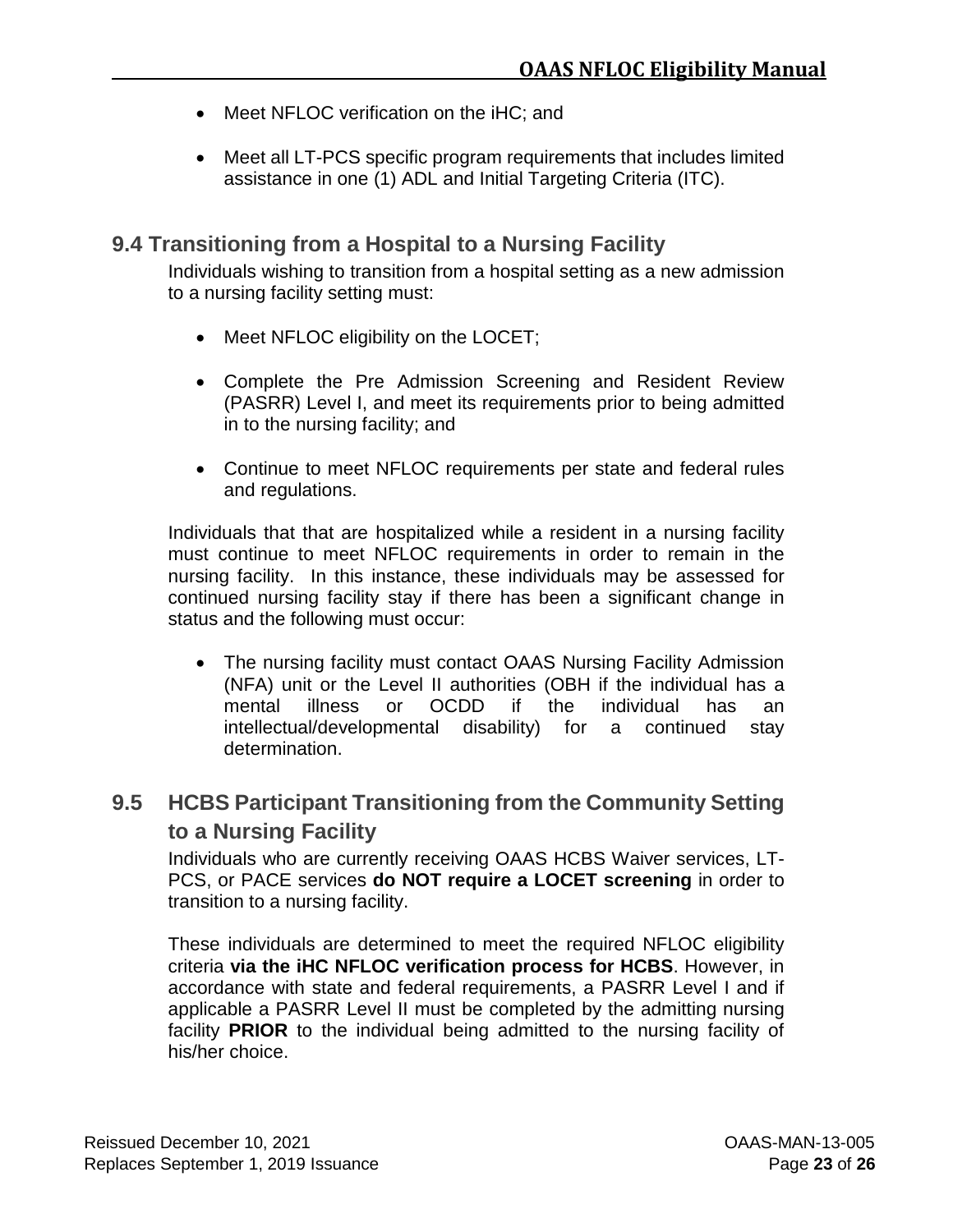- Meet NFLOC verification on the iHC; and
- Meet all LT-PCS specific program requirements that includes limited assistance in one (1) ADL and Initial Targeting Criteria (ITC).

#### <span id="page-30-0"></span>**9.4 Transitioning from a Hospital to a Nursing Facility**

Individuals wishing to transition from a hospital setting as a new admission to a nursing facility setting must:

- Meet NFLOC eligibility on the LOCET;
- Complete the Pre Admission Screening and Resident Review (PASRR) Level I, and meet its requirements prior to being admitted in to the nursing facility; and
- Continue to meet NFLOC requirements per state and federal rules and regulations.

Individuals that that are hospitalized while a resident in a nursing facility must continue to meet NFLOC requirements in order to remain in the nursing facility. In this instance, these individuals may be assessed for continued nursing facility stay if there has been a significant change in status and the following must occur:

• The nursing facility must contact OAAS Nursing Facility Admission (NFA) unit or the Level II authorities (OBH if the individual has a mental illness or OCDD if the individual has an intellectual/developmental disability) for a continued stay determination.

## <span id="page-30-1"></span>**9.5 HCBS Participant Transitioning from the Community Setting to a Nursing Facility**

Individuals who are currently receiving OAAS HCBS Waiver services, LT-PCS, or PACE services **do NOT require a LOCET screening** in order to transition to a nursing facility.

These individuals are determined to meet the required NFLOC eligibility criteria **via the iHC NFLOC verification process for HCBS**. However, in accordance with state and federal requirements, a PASRR Level I and if applicable a PASRR Level II must be completed by the admitting nursing facility **PRIOR** to the individual being admitted to the nursing facility of his/her choice.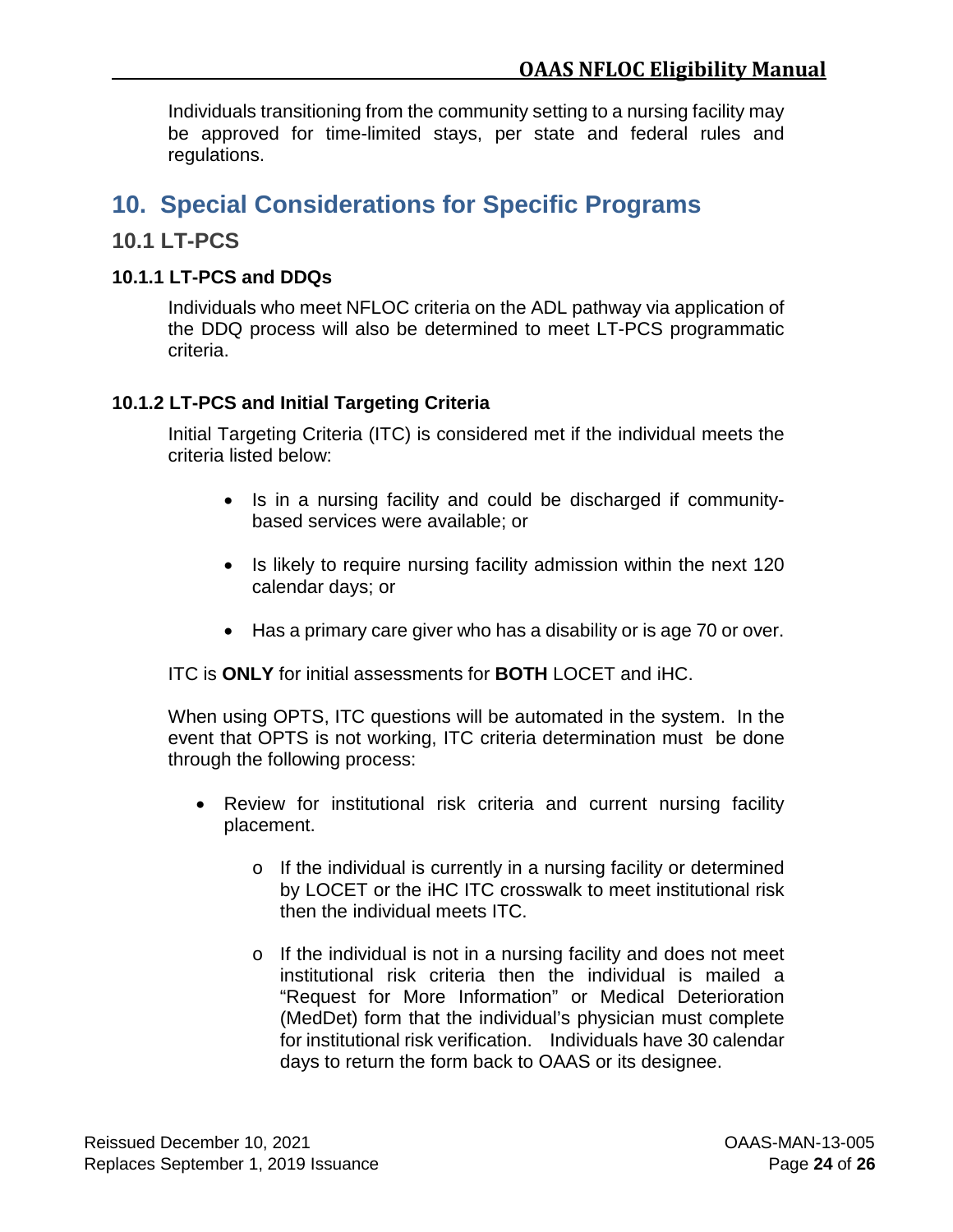Individuals transitioning from the community setting to a nursing facility may be approved for time-limited stays, per state and federal rules and regulations.

# <span id="page-31-0"></span>**10. Special Considerations for Specific Programs**

#### <span id="page-31-1"></span>**10.1 LT-PCS**

#### <span id="page-31-2"></span>**10.1.1 LT-PCS and DDQs**

Individuals who meet NFLOC criteria on the ADL pathway via application of the DDQ process will also be determined to meet LT-PCS programmatic criteria.

#### <span id="page-31-3"></span>**10.1.2 LT-PCS and Initial Targeting Criteria**

Initial Targeting Criteria (ITC) is considered met if the individual meets the criteria listed below:

- Is in a nursing facility and could be discharged if communitybased services were available; or
- Is likely to require nursing facility admission within the next 120 calendar days; or
- Has a primary care giver who has a disability or is age 70 or over.

ITC is **ONLY** for initial assessments for **BOTH** LOCET and iHC.

When using OPTS, ITC questions will be automated in the system. In the event that OPTS is not working, ITC criteria determination must be done through the following process:

- Review for institutional risk criteria and current nursing facility placement.
	- o If the individual is currently in a nursing facility or determined by LOCET or the iHC ITC crosswalk to meet institutional risk then the individual meets ITC.
	- o If the individual is not in a nursing facility and does not meet institutional risk criteria then the individual is mailed a "Request for More Information" or Medical Deterioration (MedDet) form that the individual's physician must complete for institutional risk verification. Individuals have 30 calendar days to return the form back to OAAS or its designee.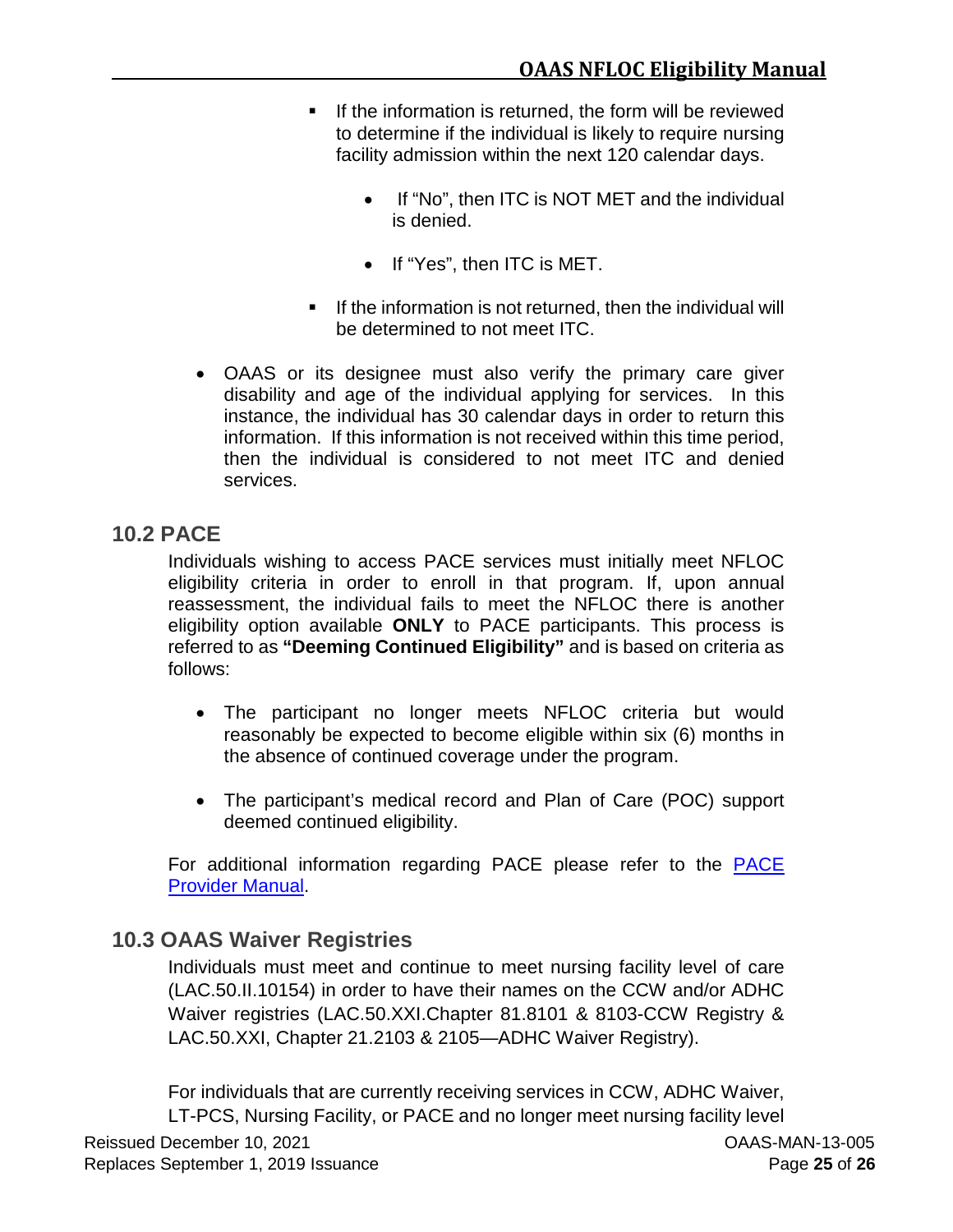- **If the information is returned, the form will be reviewed** to determine if the individual is likely to require nursing facility admission within the next 120 calendar days.
	- If "No", then ITC is NOT MET and the individual is denied.
	- If "Yes", then ITC is MET.
- $\blacksquare$  If the information is not returned, then the individual will be determined to not meet ITC.
- OAAS or its designee must also verify the primary care giver disability and age of the individual applying for services. In this instance, the individual has 30 calendar days in order to return this information. If this information is not received within this time period, then the individual is considered to not meet ITC and denied services.

#### <span id="page-32-0"></span>**10.2 PACE**

Individuals wishing to access PACE services must initially meet NFLOC eligibility criteria in order to enroll in that program. If, upon annual reassessment, the individual fails to meet the NFLOC there is another eligibility option available **ONLY** to PACE participants. This process is referred to as **"Deeming Continued Eligibility"** and is based on criteria as follows:

- The participant no longer meets NFLOC criteria but would reasonably be expected to become eligible within six (6) months in the absence of continued coverage under the program.
- The participant's medical record and Plan of Care (POC) support deemed continued eligibility.

For additional information regarding PACE please refer to the [PACE](https://www.lamedicaid.com/provweb1/Providermanuals/manuals/PACE/PACE.pdf)  [Provider Manual.](https://www.lamedicaid.com/provweb1/Providermanuals/manuals/PACE/PACE.pdf)

## <span id="page-32-1"></span>**10.3 OAAS Waiver Registries**

Individuals must meet and continue to meet nursing facility level of care (LAC.50.II.10154) in order to have their names on the CCW and/or ADHC Waiver registries (LAC.50.XXI.Chapter 81.8101 & 8103-CCW Registry & LAC.50.XXI, Chapter 21.2103 & 2105—ADHC Waiver Registry).

Reissued December 10. 2021 **Canadian Control Control Control Control Control Control Control Control Control Control Control Control Control Control Control Control Control Control Control Control Control Control Control C** Replaces September 1, 2019 Issuance **Page 25** of 26 For individuals that are currently receiving services in CCW, ADHC Waiver, LT-PCS, Nursing Facility, or PACE and no longer meet nursing facility level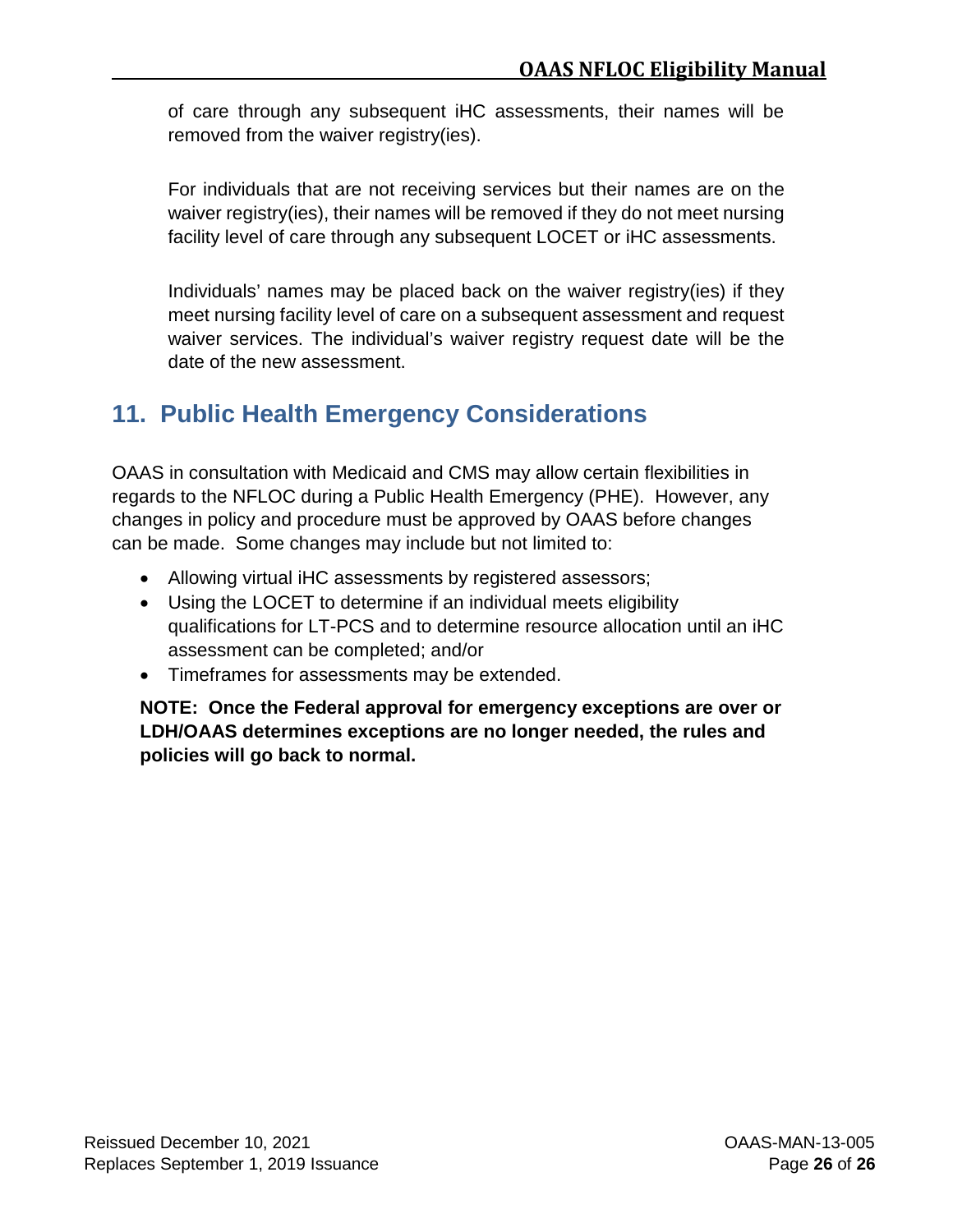of care through any subsequent iHC assessments, their names will be removed from the waiver registry(ies).

For individuals that are not receiving services but their names are on the waiver registry(ies), their names will be removed if they do not meet nursing facility level of care through any subsequent LOCET or iHC assessments.

Individuals' names may be placed back on the waiver registry(ies) if they meet nursing facility level of care on a subsequent assessment and request waiver services. The individual's waiver registry request date will be the date of the new assessment.

# <span id="page-33-0"></span>**11. Public Health Emergency Considerations**

OAAS in consultation with Medicaid and CMS may allow certain flexibilities in regards to the NFLOC during a Public Health Emergency (PHE). However, any changes in policy and procedure must be approved by OAAS before changes can be made. Some changes may include but not limited to:

- Allowing virtual iHC assessments by registered assessors;
- Using the LOCET to determine if an individual meets eligibility qualifications for LT-PCS and to determine resource allocation until an iHC assessment can be completed; and/or
- Timeframes for assessments may be extended.

**NOTE: Once the Federal approval for emergency exceptions are over or LDH/OAAS determines exceptions are no longer needed, the rules and policies will go back to normal.**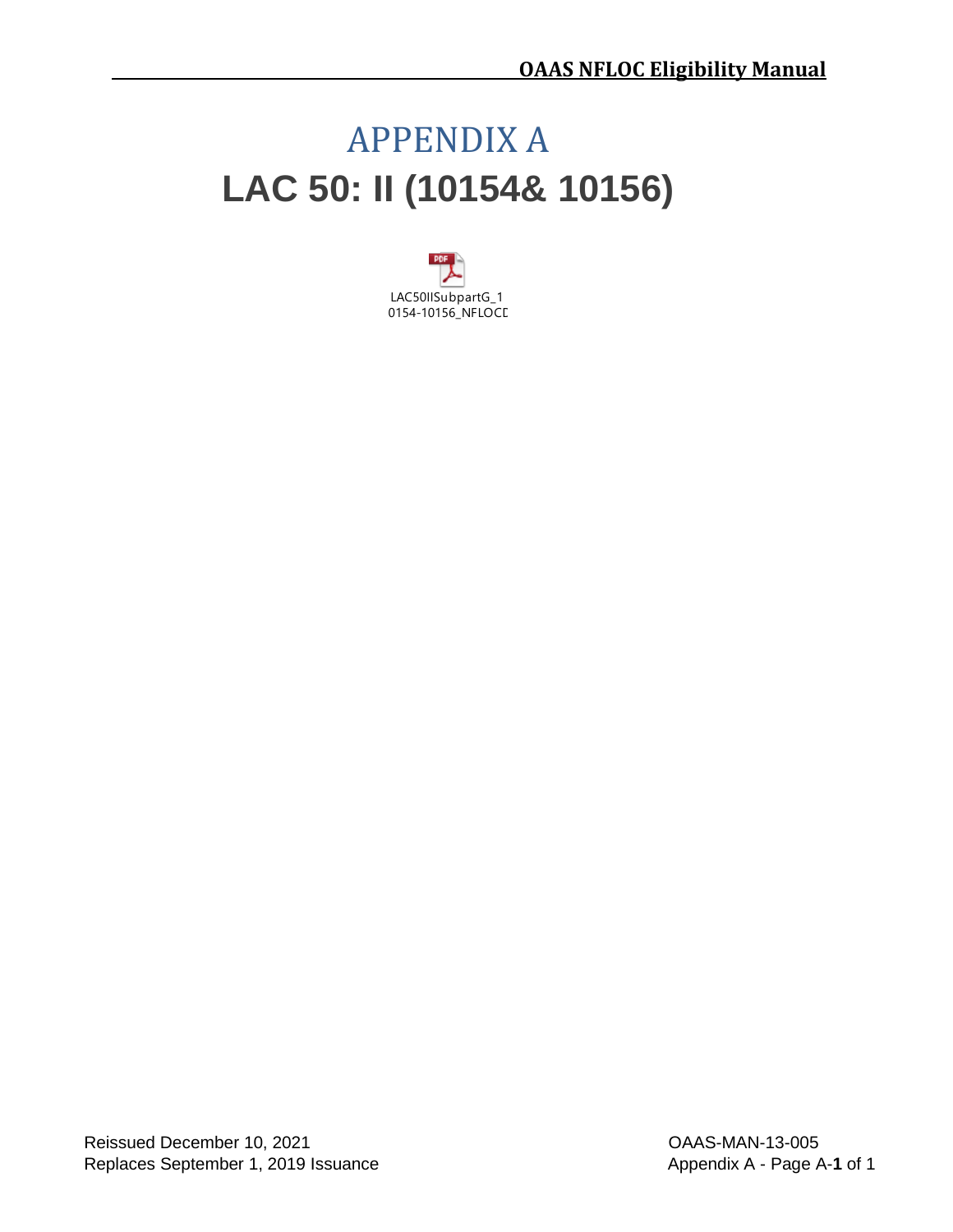# <span id="page-34-1"></span><span id="page-34-0"></span>APPENDIX A **LAC 50: II (10154& 10156)**